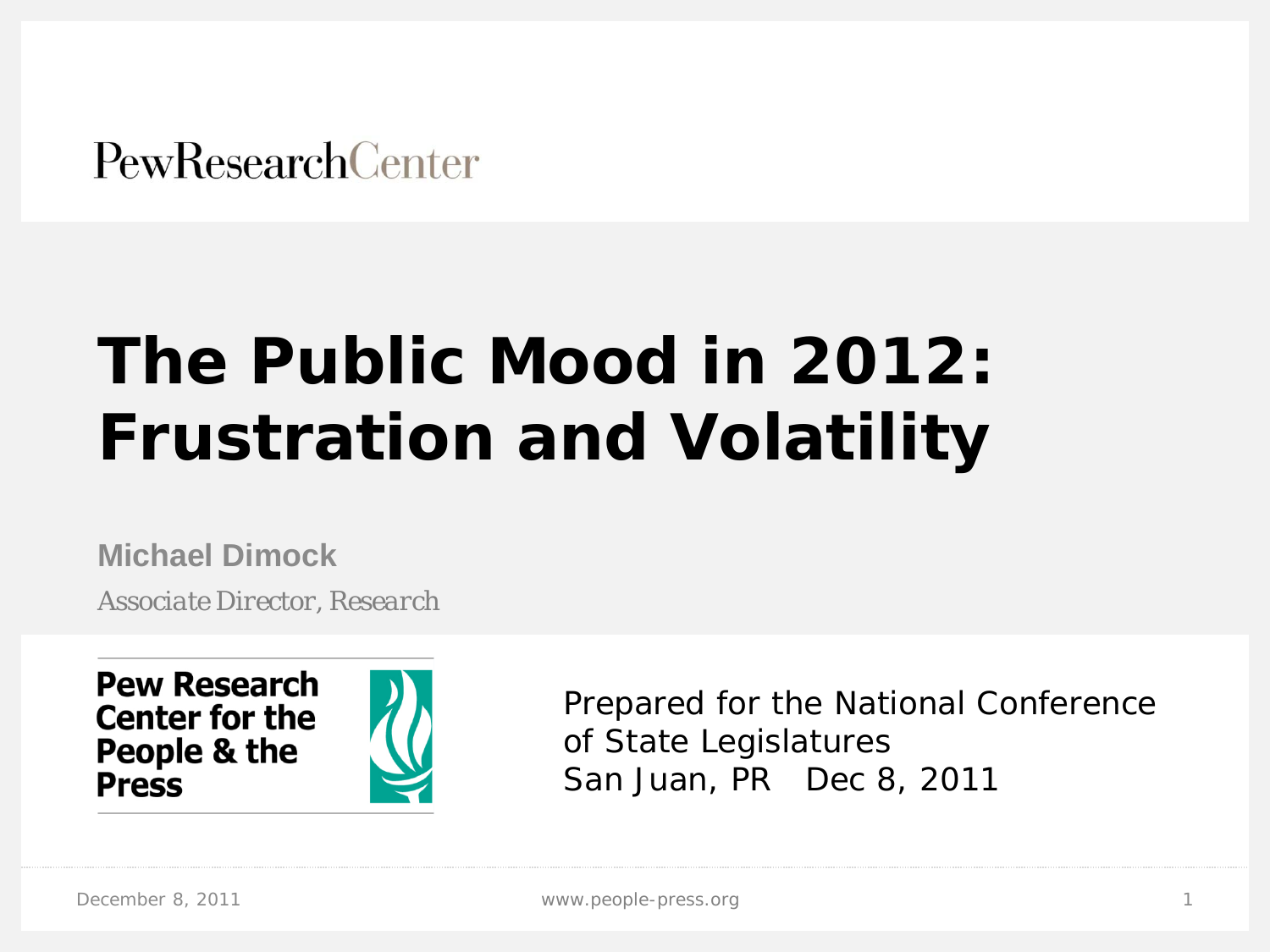**PewResearchCenter** 

# **The Public Mood in 2012: Frustration and Volatility**

**Michael Dimock**

*Associate Director, Research*



Prepared for the National Conference of State Legislatures San Juan, PR Dec 8, 2011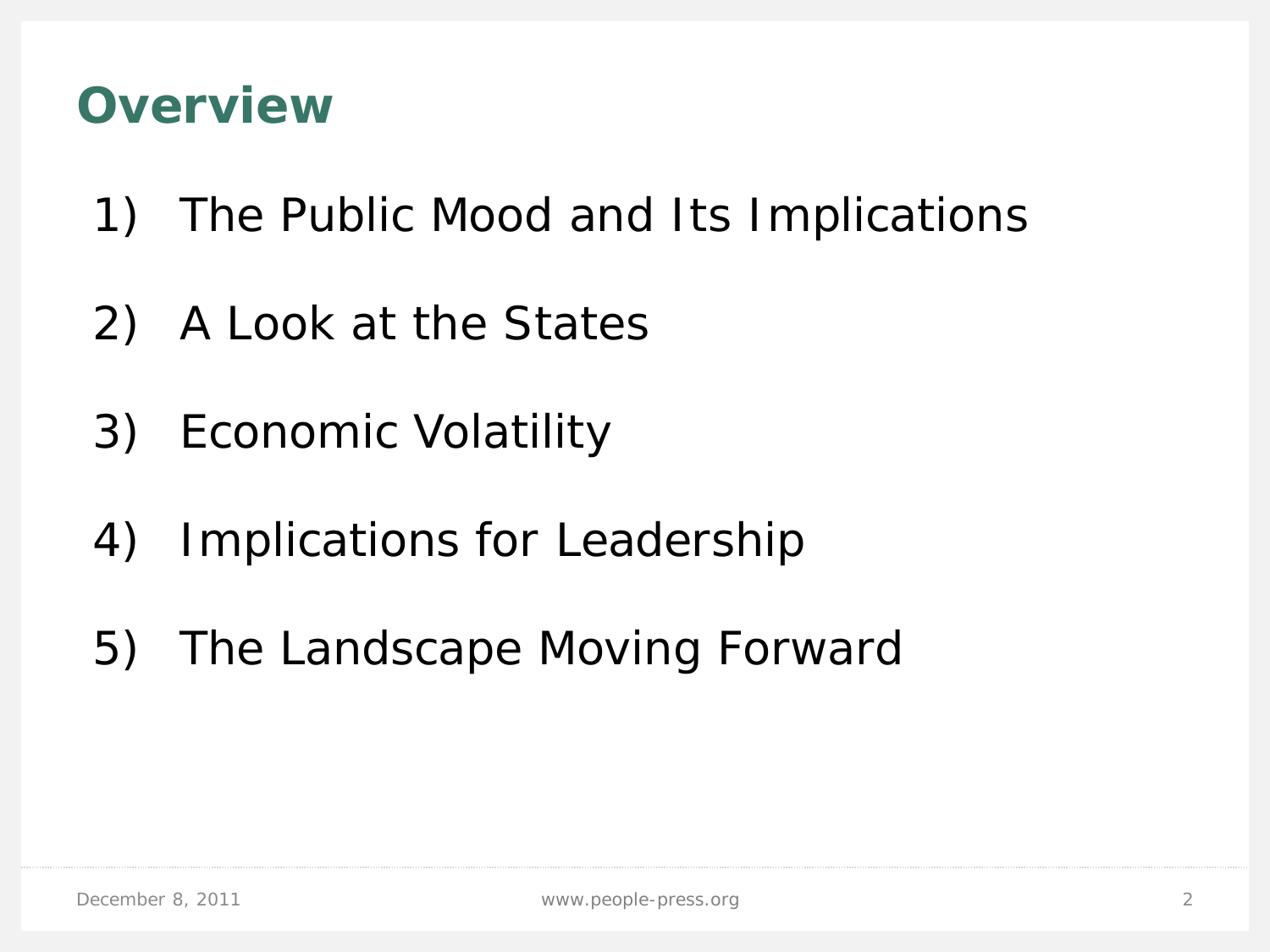### **Overview**

- 1) The Public Mood and Its Implications
- 2) A Look at the States
- 3) Economic Volatility
- 4) Implications for Leadership
- 5) The Landscape Moving Forward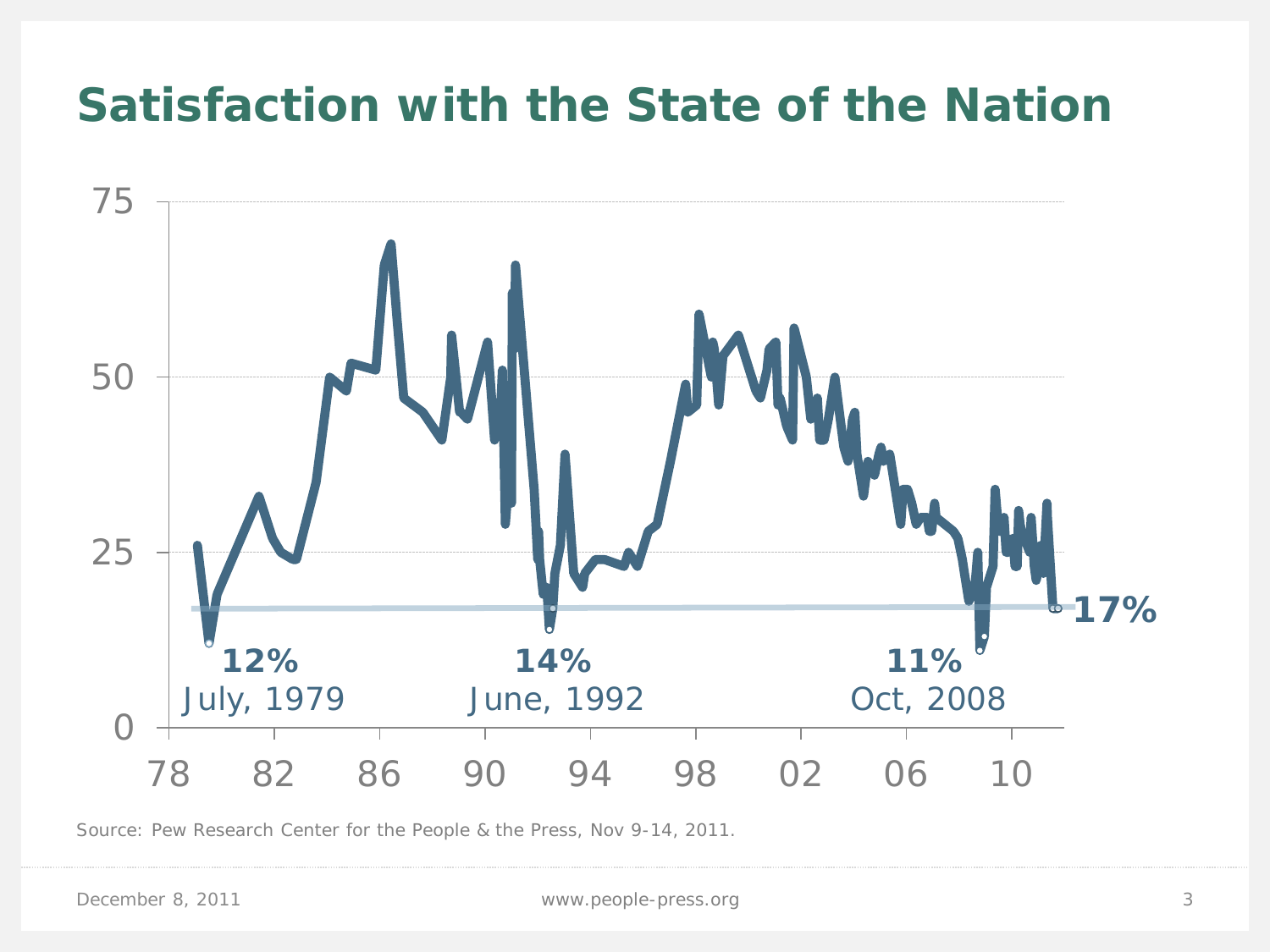#### **Satisfaction with the State of the Nation**



Source: Pew Research Center for the People & the Press, Nov 9-14, 2011.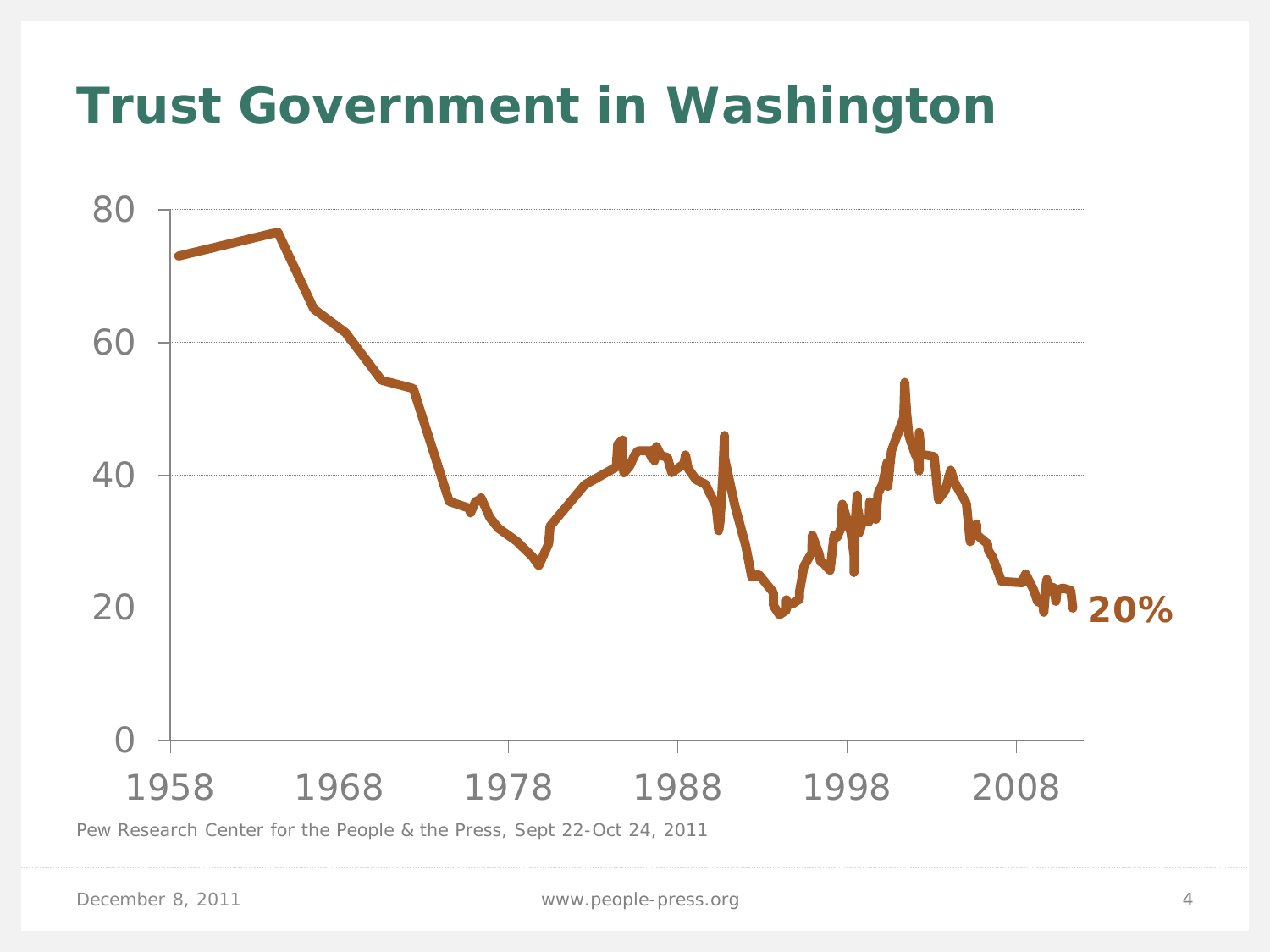# **Trust Government in Washington**

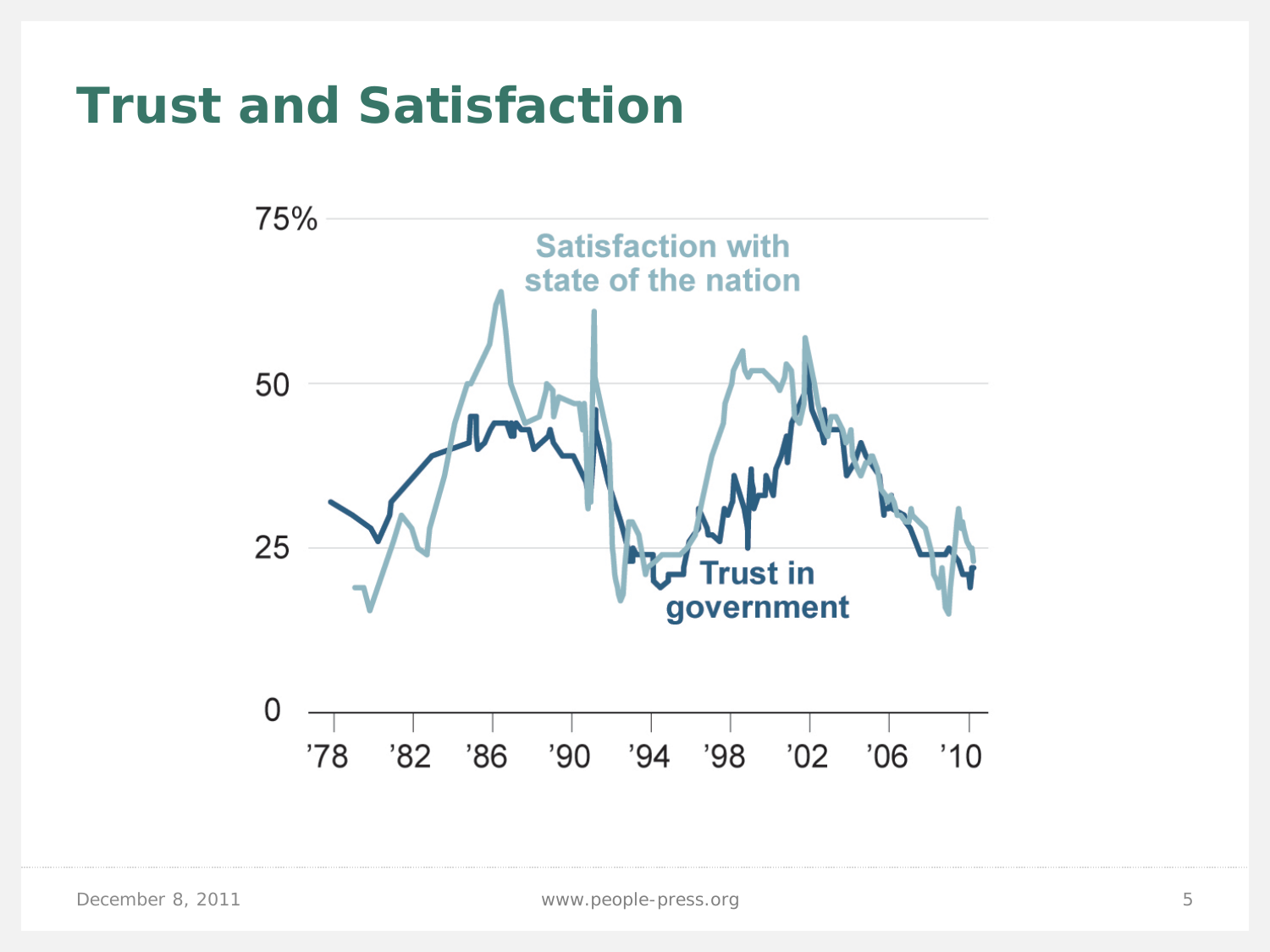### **Trust and Satisfaction**

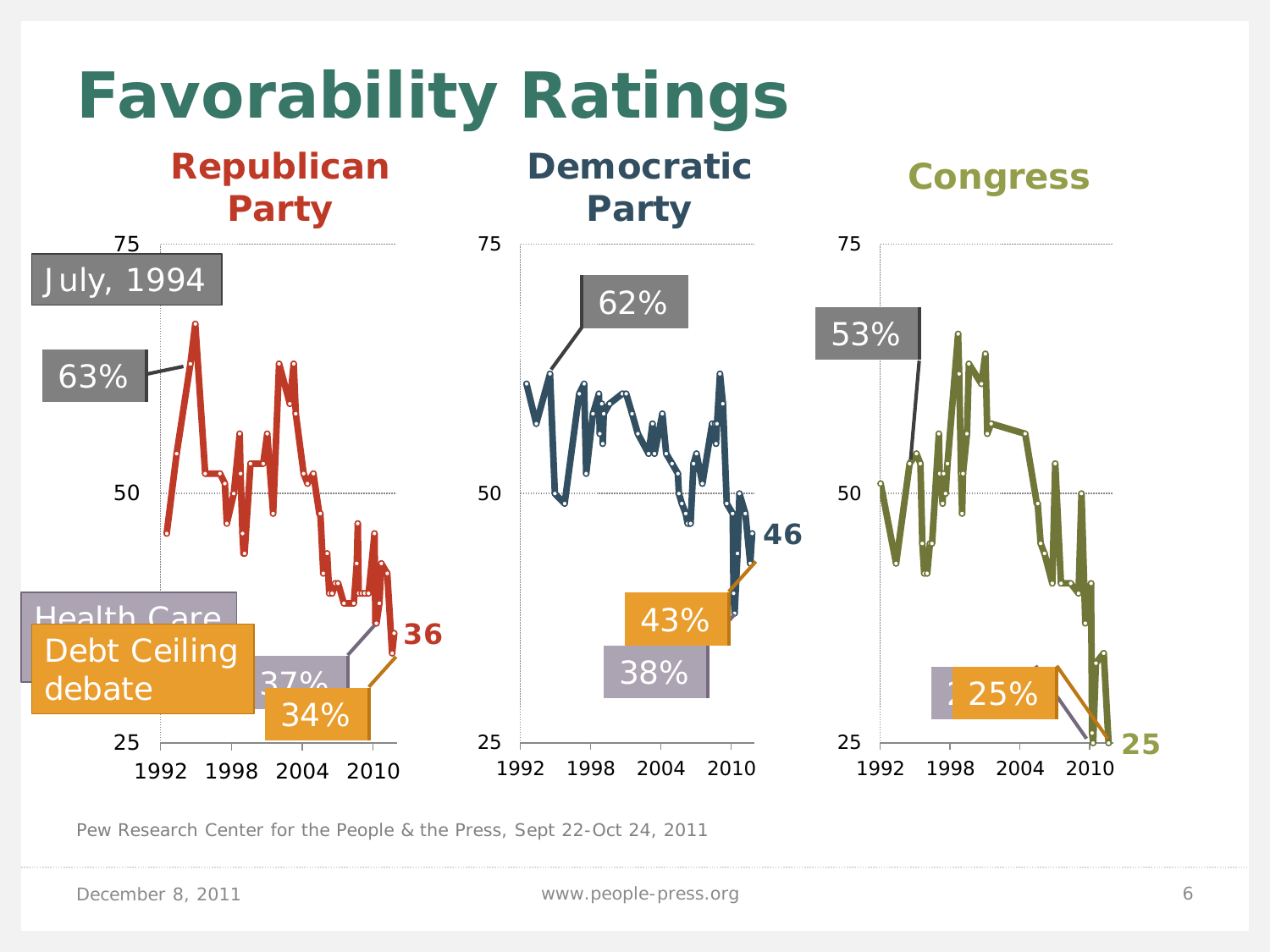

Pew Research Center for the People & the Press, Sept 22-Oct 24, 2011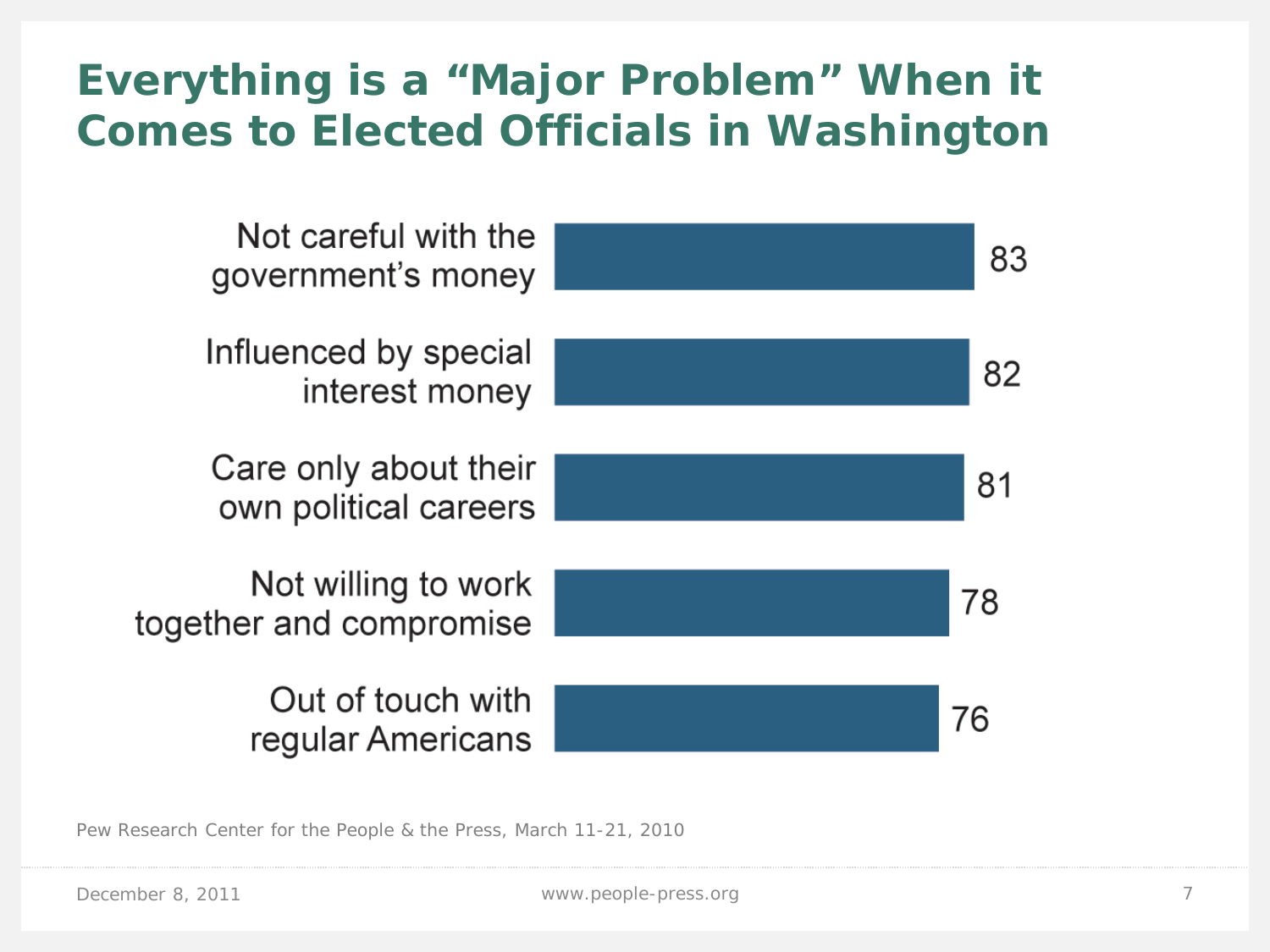#### **Everything is a "Major Problem" When it Comes to Elected Officials in Washington**



Pew Research Center for the People & the Press, March 11-21, 2010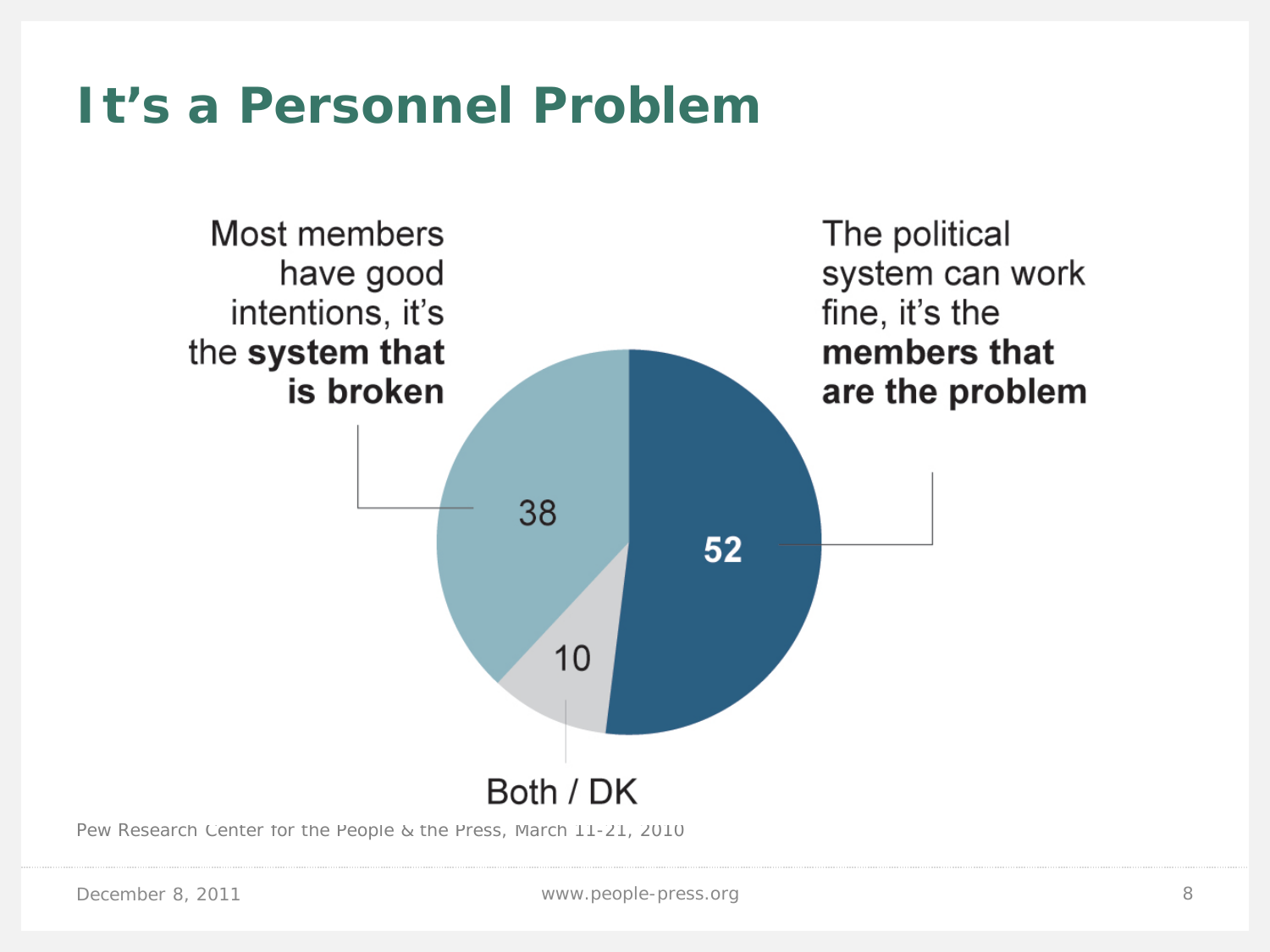#### **It's a Personnel Problem**



Pew Research Center for the People & the Press, March 11-21, 2010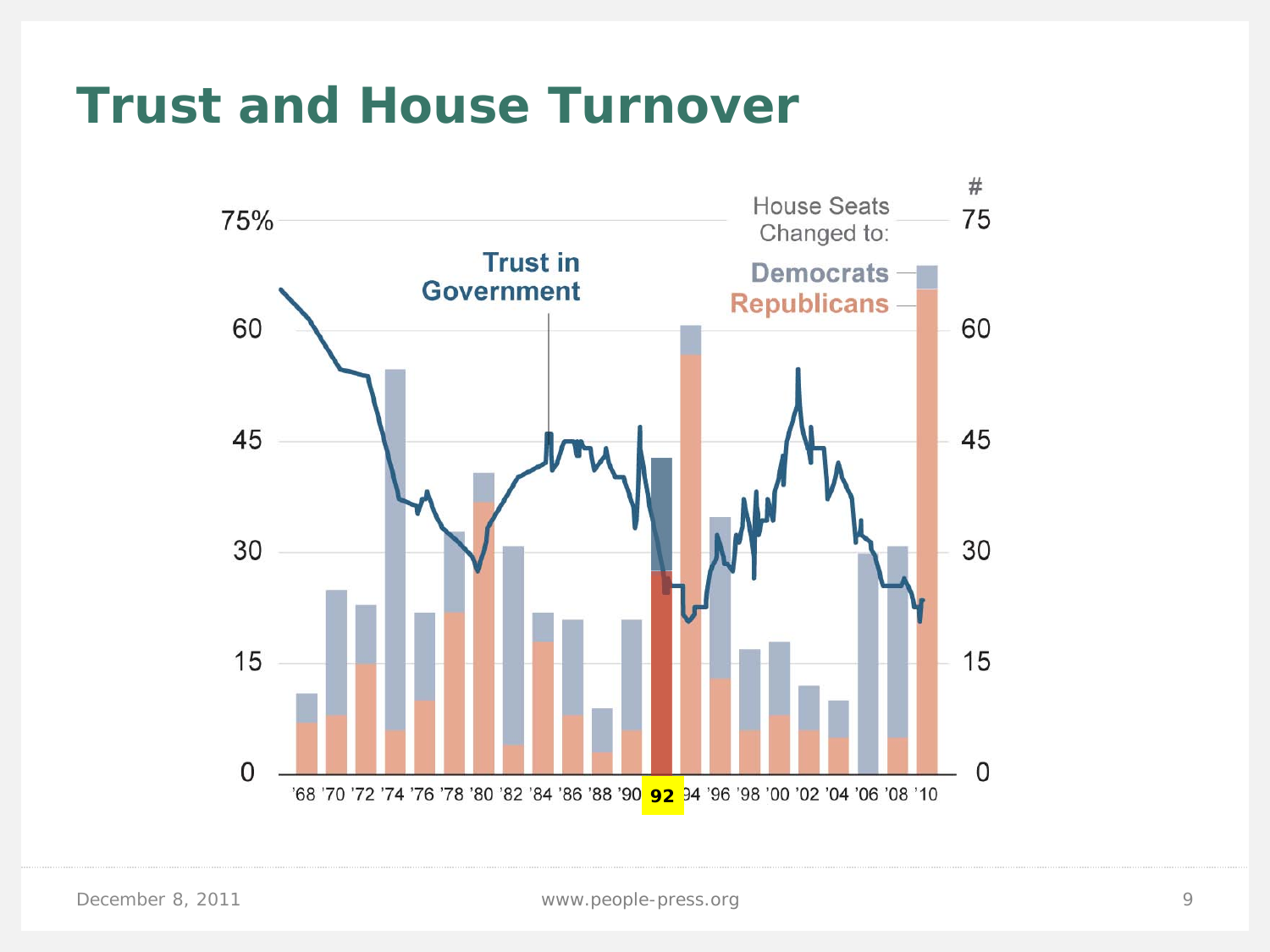#### **Trust and House Turnover**

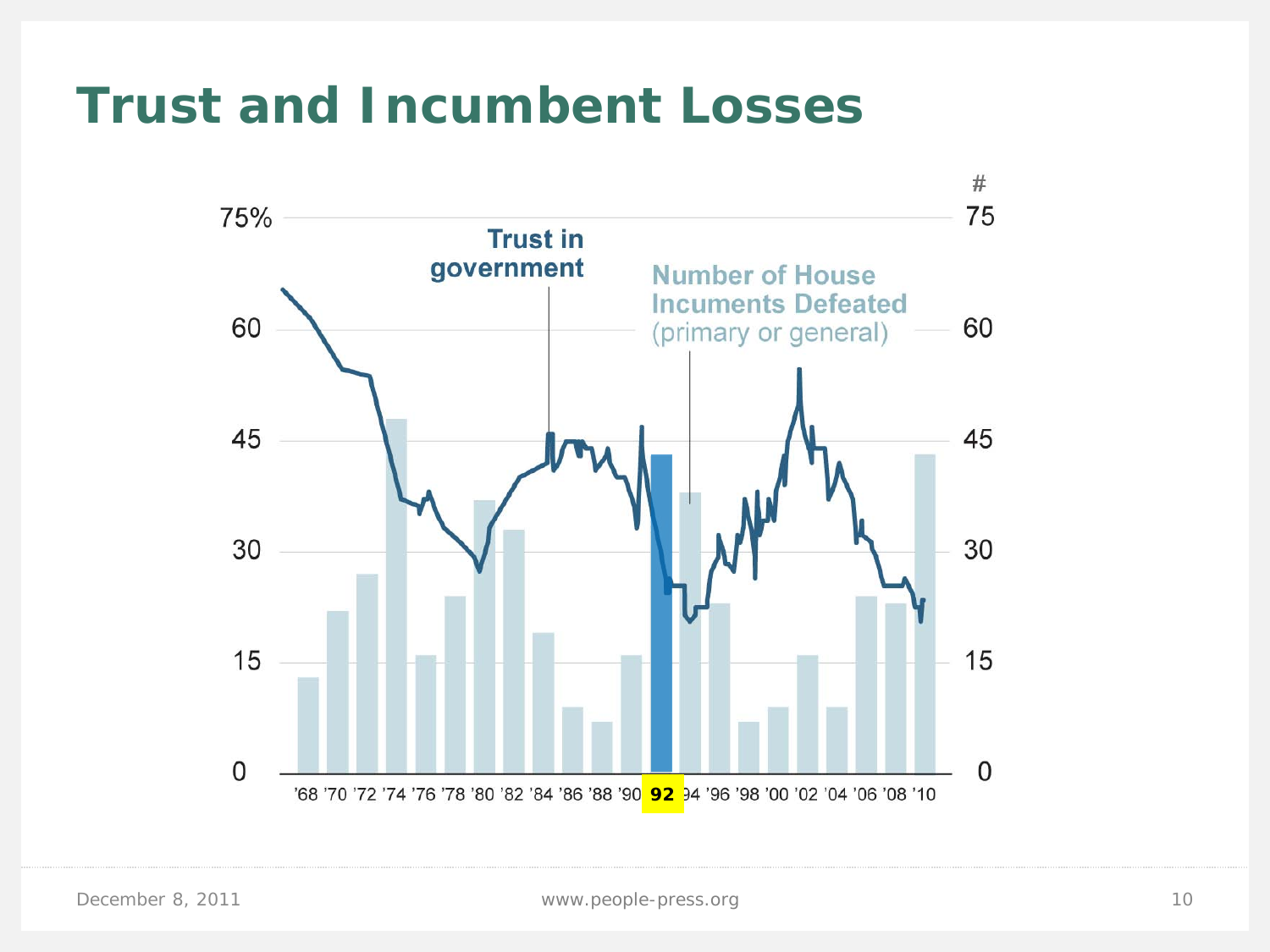#### **Trust and Incumbent Losses**

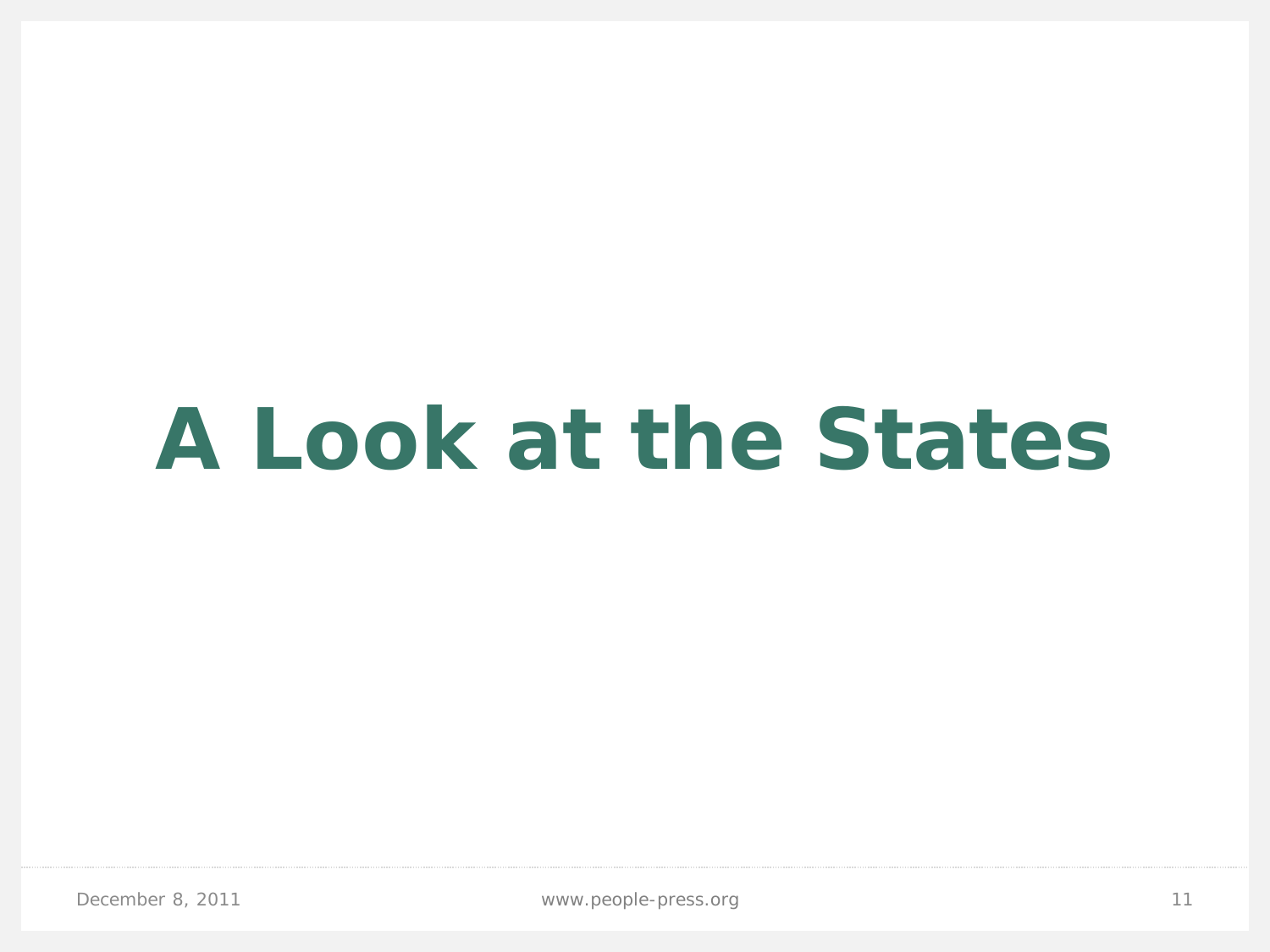# **A Look at the States**

December 8, 2011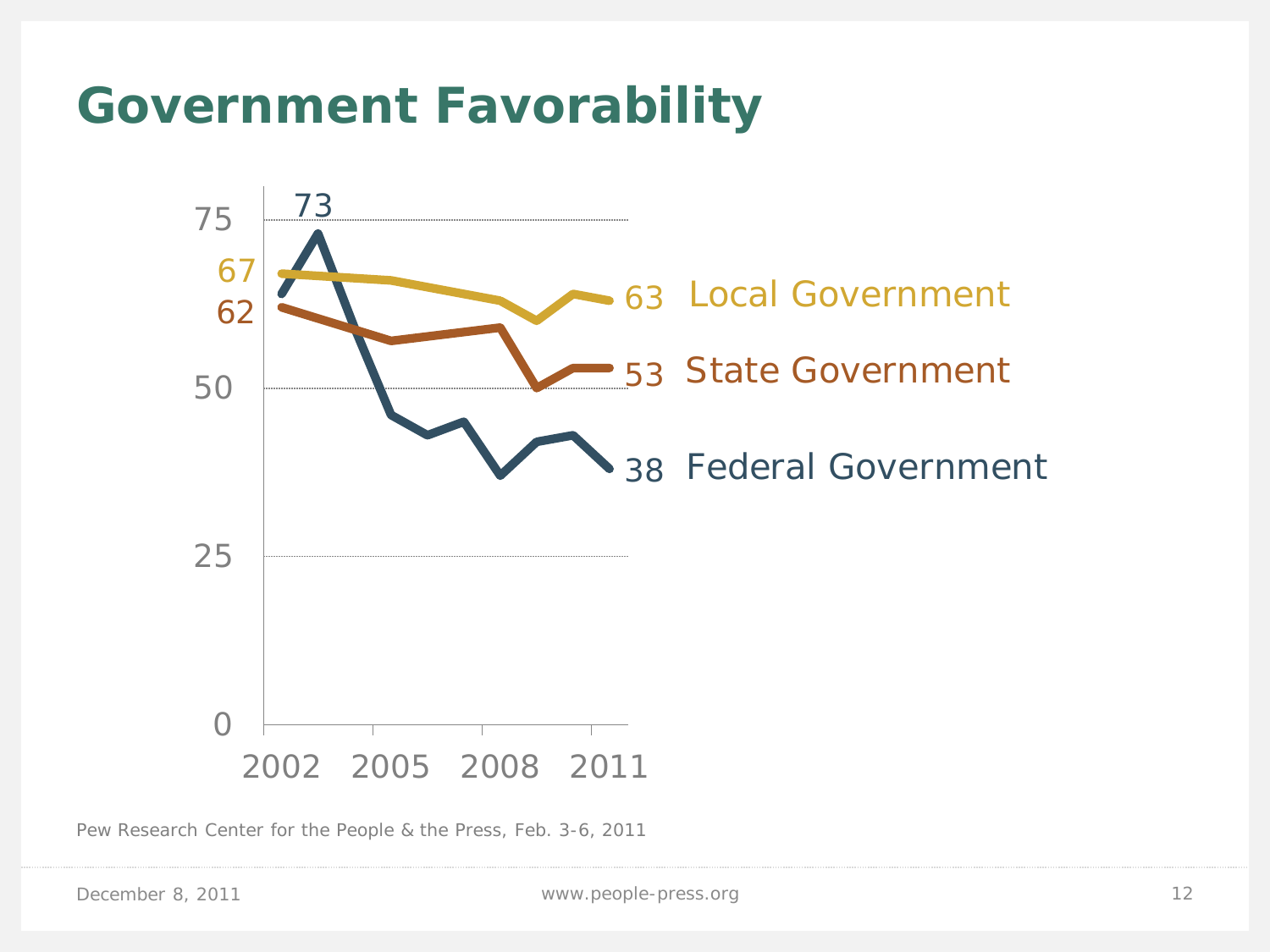### **Government Favorability**



Pew Research Center for the People & the Press, Feb. 3-6, 2011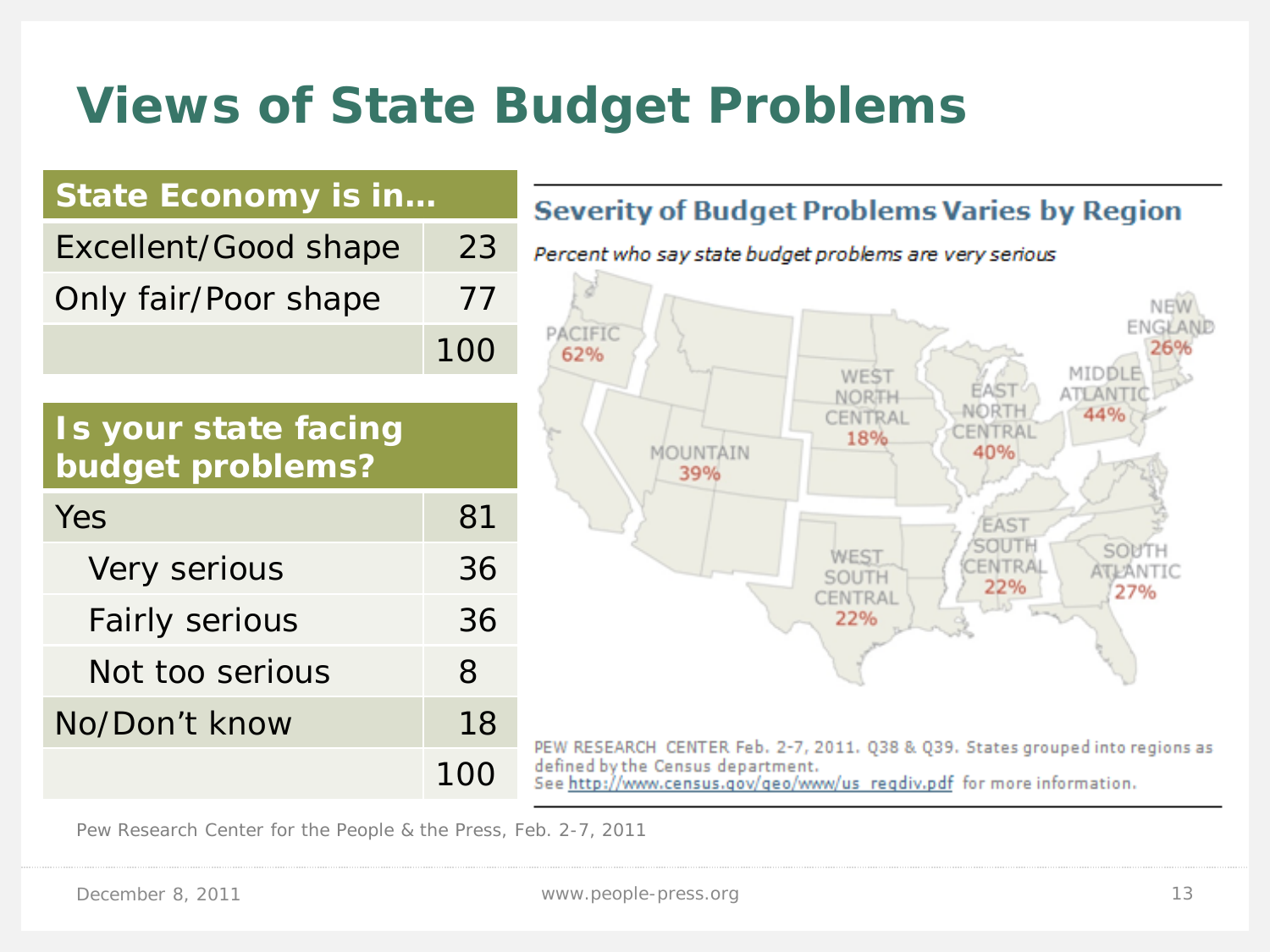# **Views of State Budget Problems**



Pew Research Center for the People & the Press, Feb. 2-7, 2011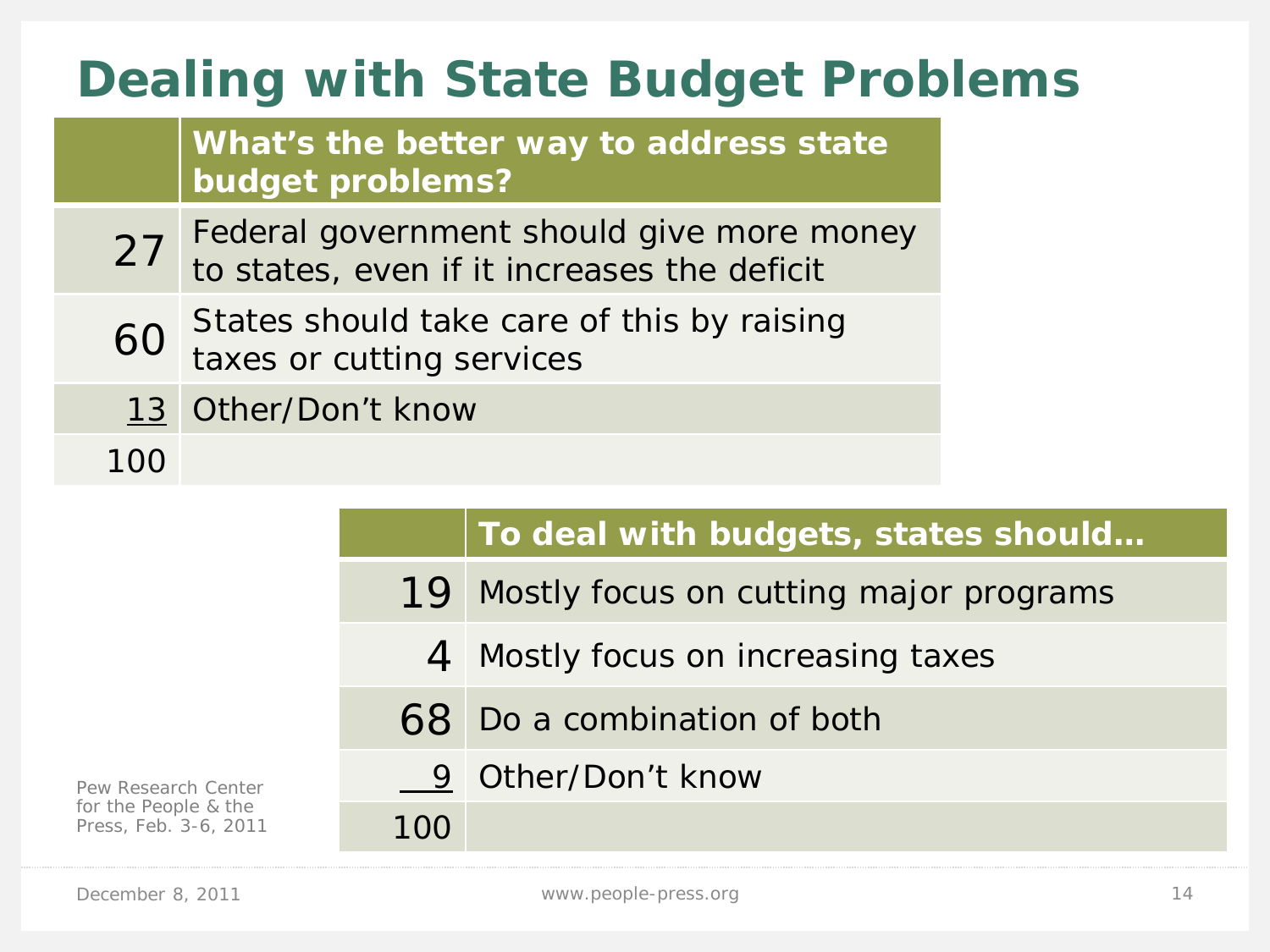# **Dealing with State Budget Problems**

**What's the better way to address state budget problems?**

- 27 Federal government should give more money to states, even if it increases the deficit
- 60 States should take care of this by raising taxes or cutting services
- 13 Other/Don't know

100

|                                               |     | To deal with budgets, states should       |
|-----------------------------------------------|-----|-------------------------------------------|
|                                               |     | 19 Mostly focus on cutting major programs |
|                                               |     | 4 Mostly focus on increasing taxes        |
|                                               |     | 68 Do a combination of both               |
| Pew Research Center                           |     | 9 Other/Don't know                        |
| for the People & the<br>Press, Feb. 3-6, 2011 | 100 |                                           |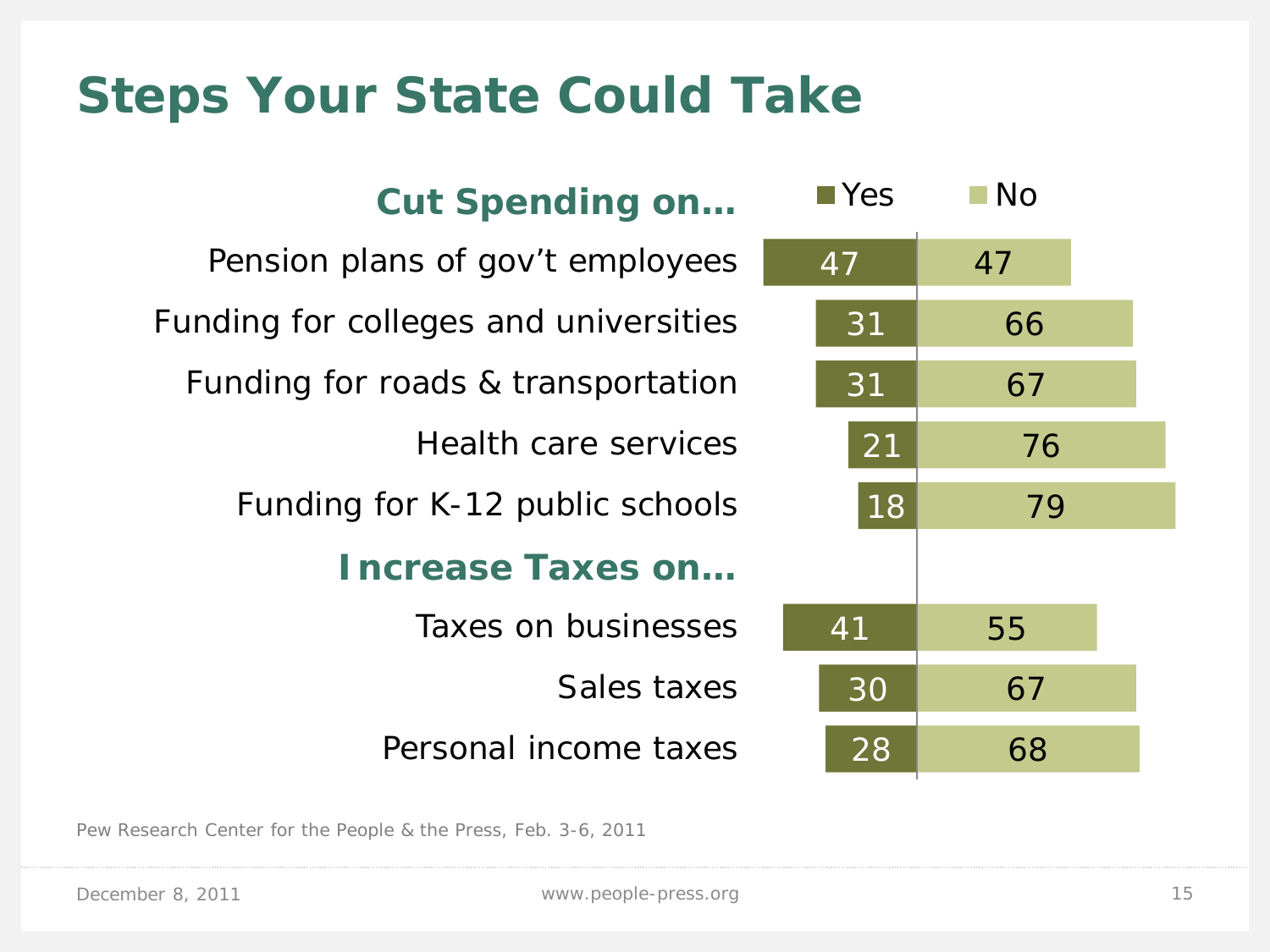# **Steps Your State Could Take**

| <b>Cut Spending on</b>                | $\blacksquare$ Yes | $\blacksquare$ No |  |
|---------------------------------------|--------------------|-------------------|--|
| Pension plans of gov't employees      | 47                 | 47                |  |
| Funding for colleges and universities | 31                 | 66                |  |
| Funding for roads & transportation    | 31                 | 67                |  |
| Health care services                  | 21                 | 76                |  |
| Funding for K-12 public schools       | 18                 | 79                |  |
| <b>Increase Taxes on</b>              |                    |                   |  |
| Taxes on businesses                   | 41                 | 55                |  |
| Sales taxes                           | 30                 | 67                |  |
| Personal income taxes                 | 28                 | 68                |  |

Pew Research Center for the People & the Press, Feb. 3-6, 2011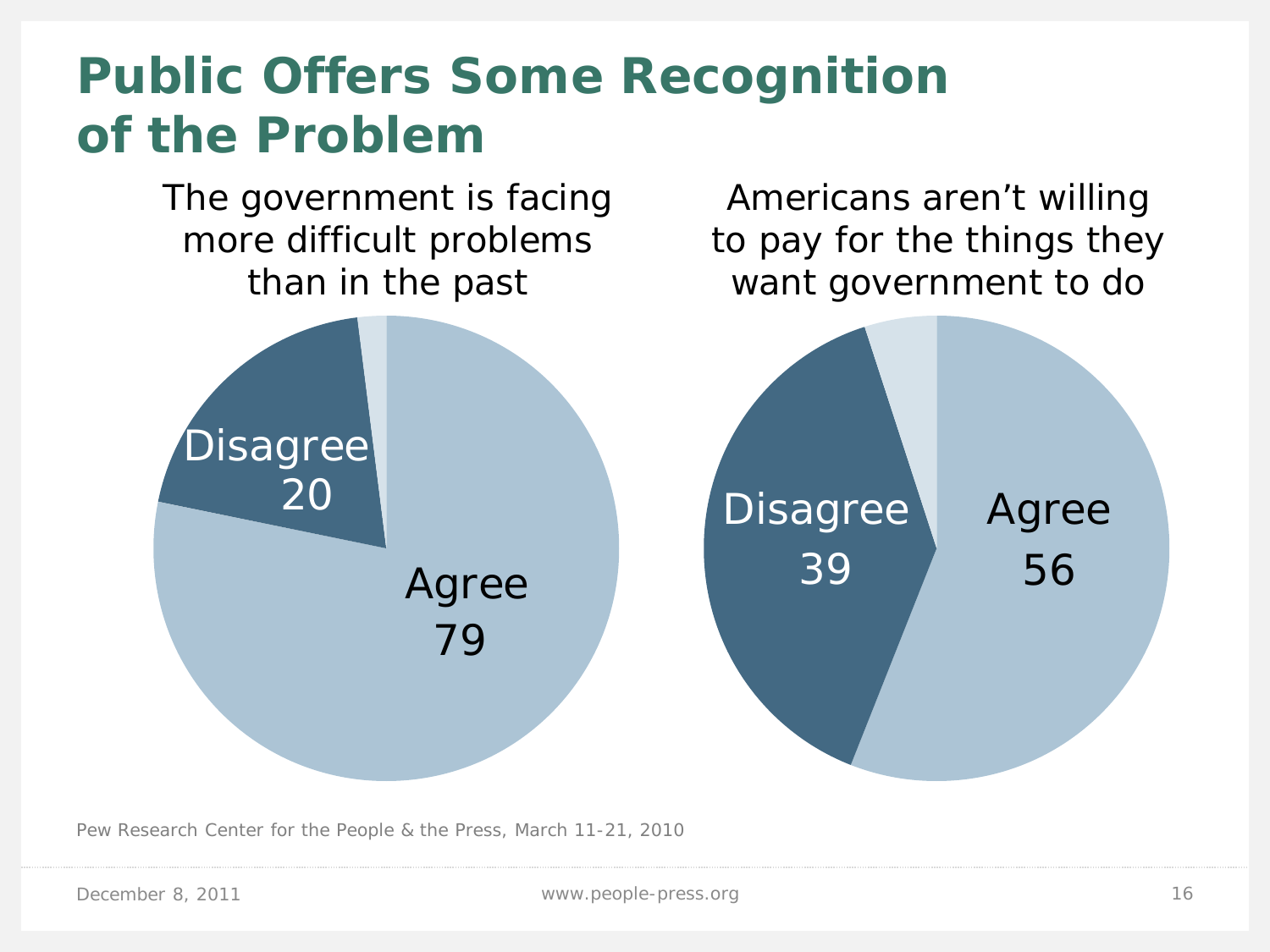# **Public Offers Some Recognition of the Problem**

The government is facing more difficult problems than in the past

Americans aren't willing to pay for the things they want government to do



Pew Research Center for the People & the Press, March 11-21, 2010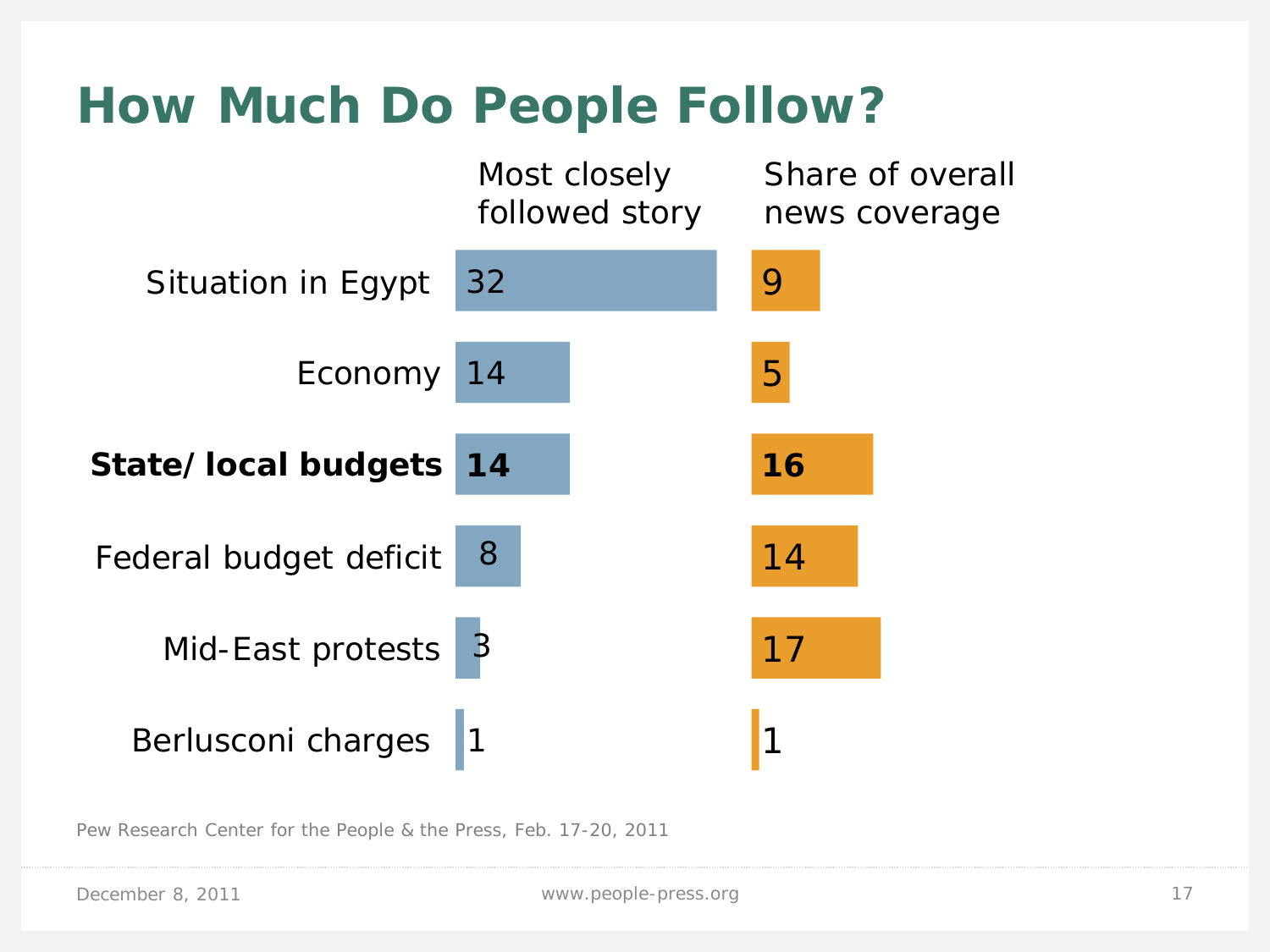# **How Much Do People Follow?**



Pew Research Center for the People & the Press, Feb. 17-20, 2011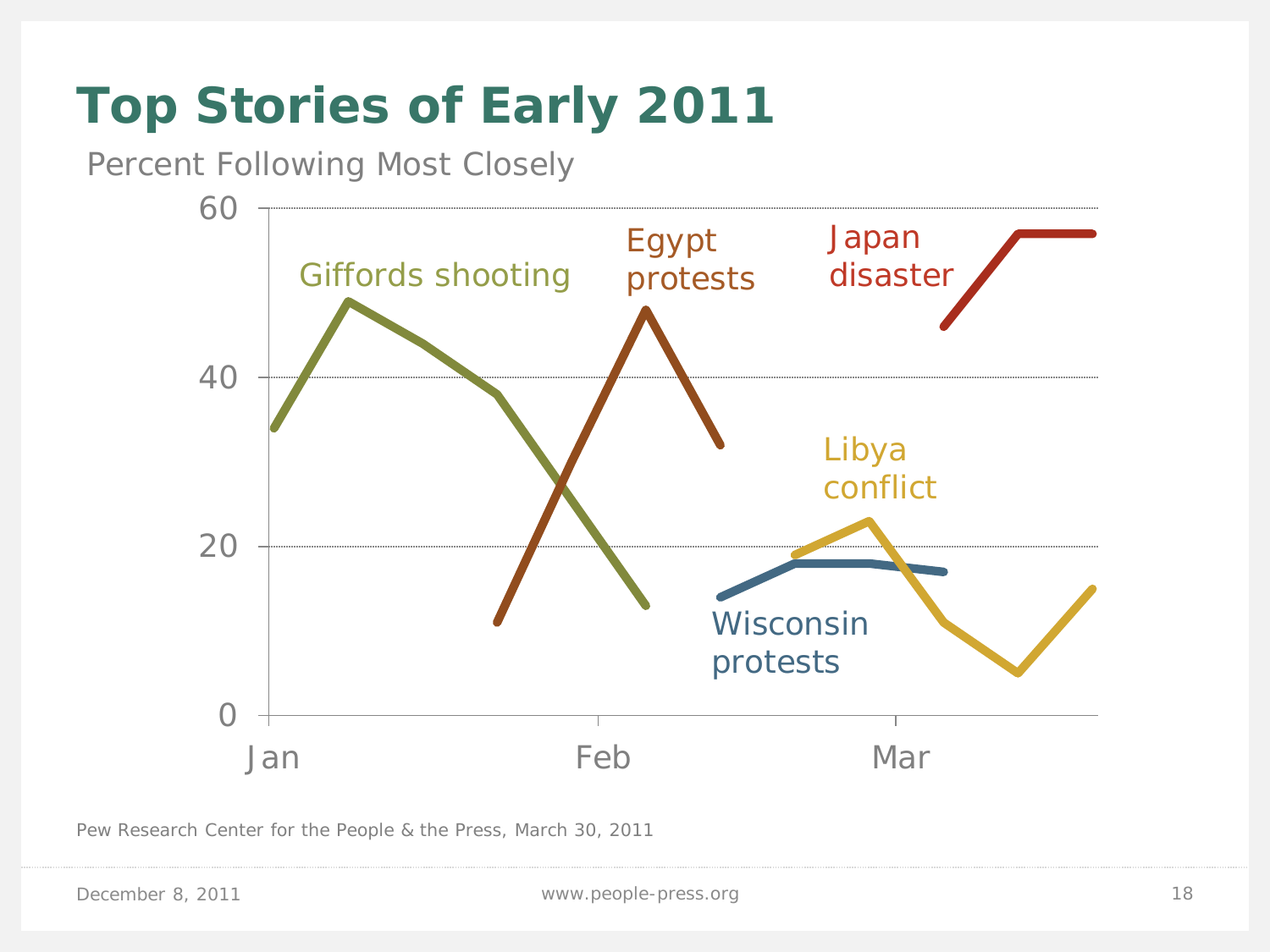# **Top Stories of Early 2011**

Percent Following Most Closely



Pew Research Center for the People & the Press, March 30, 2011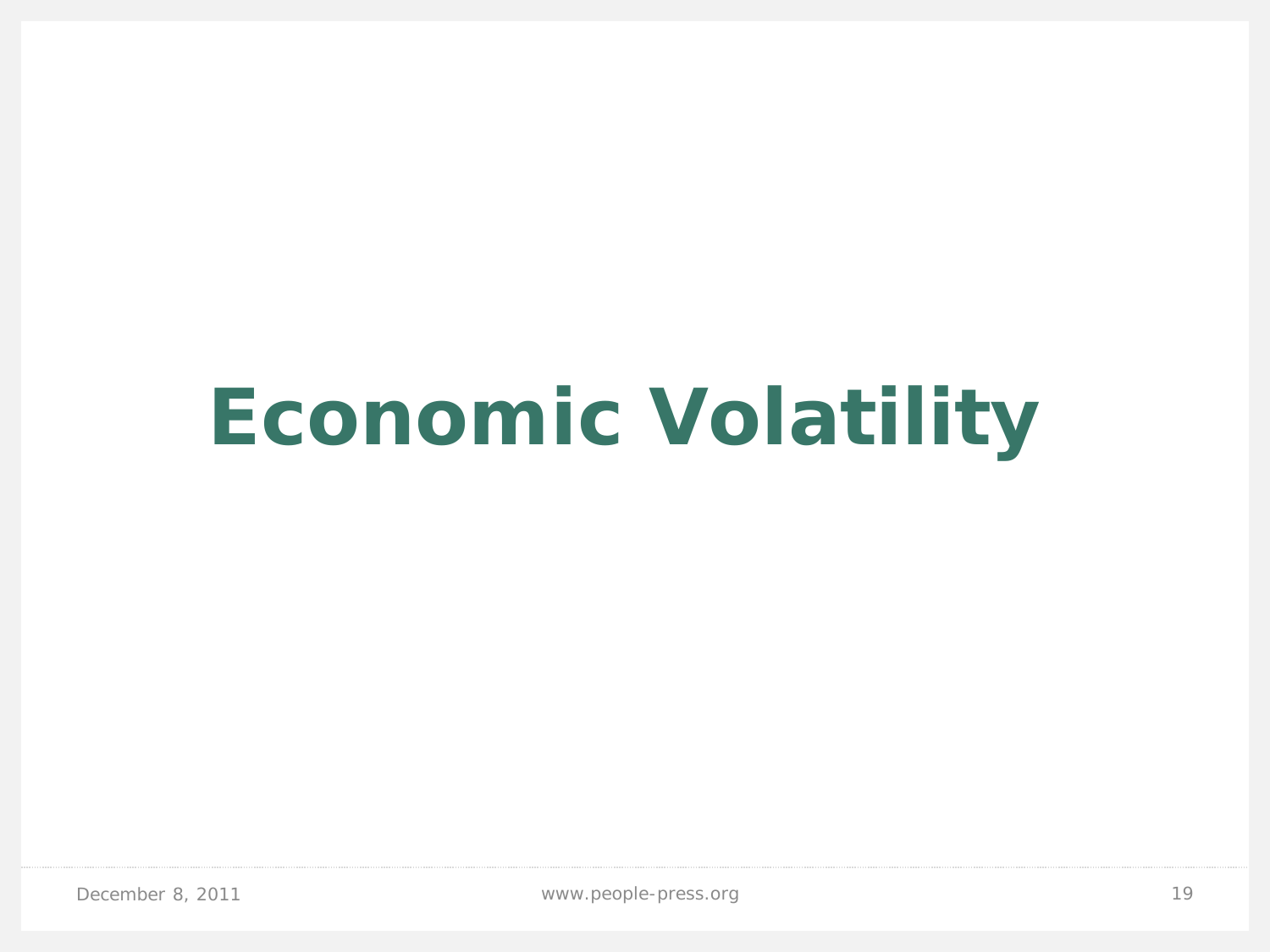# **Economic Volatility**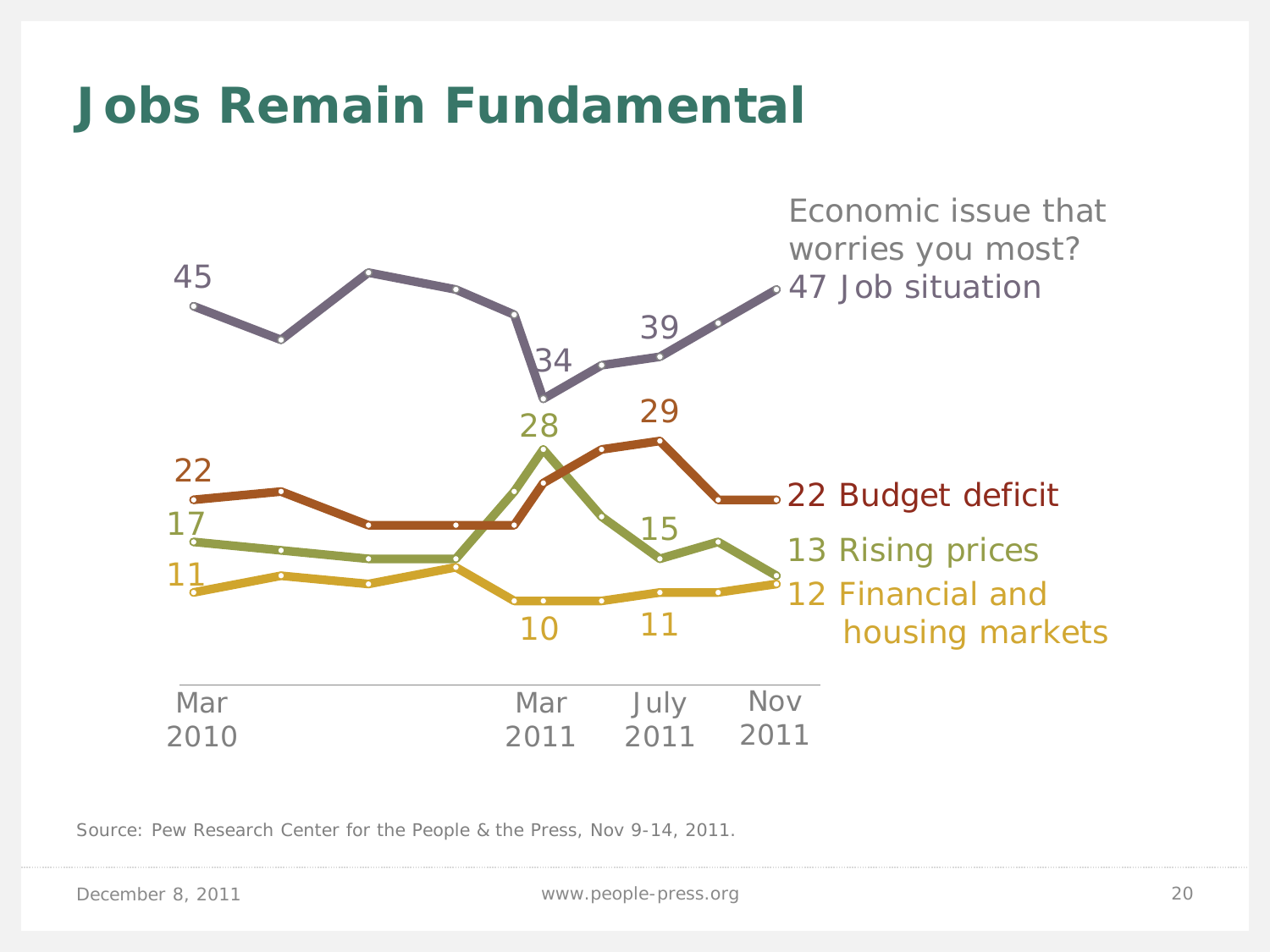### **Jobs Remain Fundamental**



Source: Pew Research Center for the People & the Press, Nov 9-14, 2011.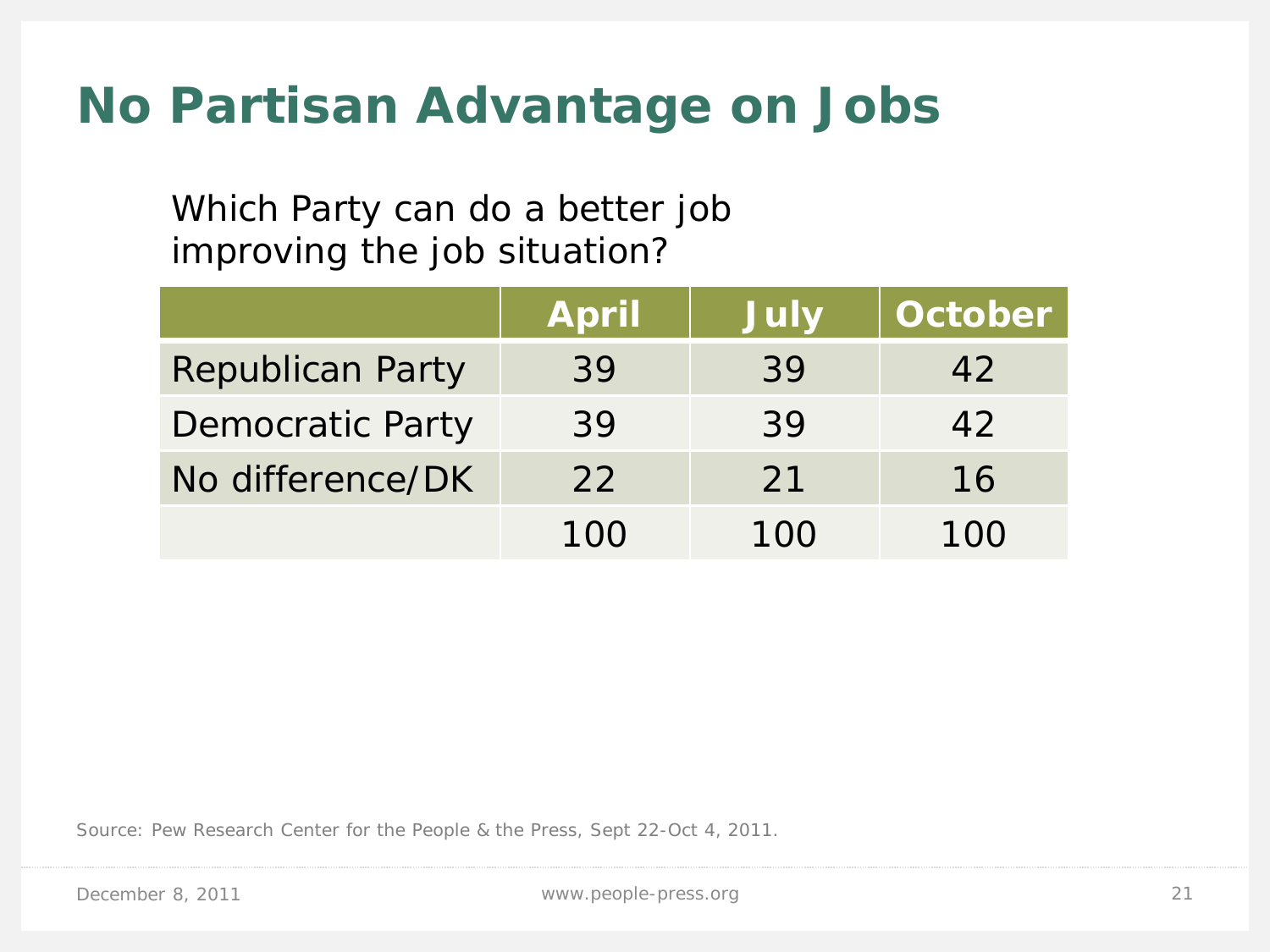## **No Partisan Advantage on Jobs**

Which Party can do a better job improving the job situation?

|                         | <b>April</b> | <b>July</b> | October |
|-------------------------|--------------|-------------|---------|
| <b>Republican Party</b> | 39           | 39          | 42      |
| <b>Democratic Party</b> | 39           | 39          | 42      |
| No difference/DK        | 22           | 21          | 16      |
|                         | 100          | 100         | 100     |

Source: Pew Research Center for the People & the Press, Sept 22-Oct 4, 2011.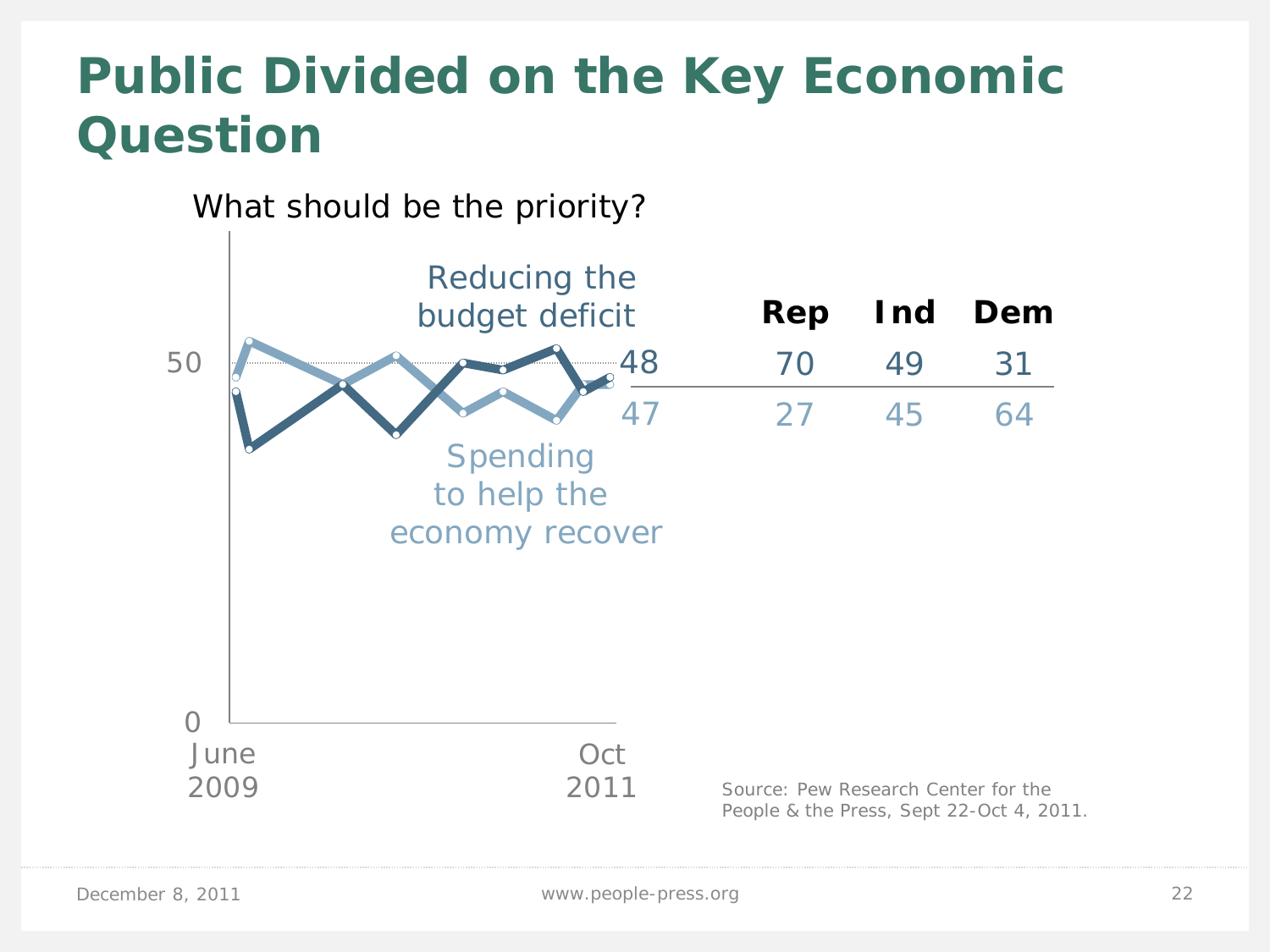# **Public Divided on the Key Economic Question**

What should be the priority?

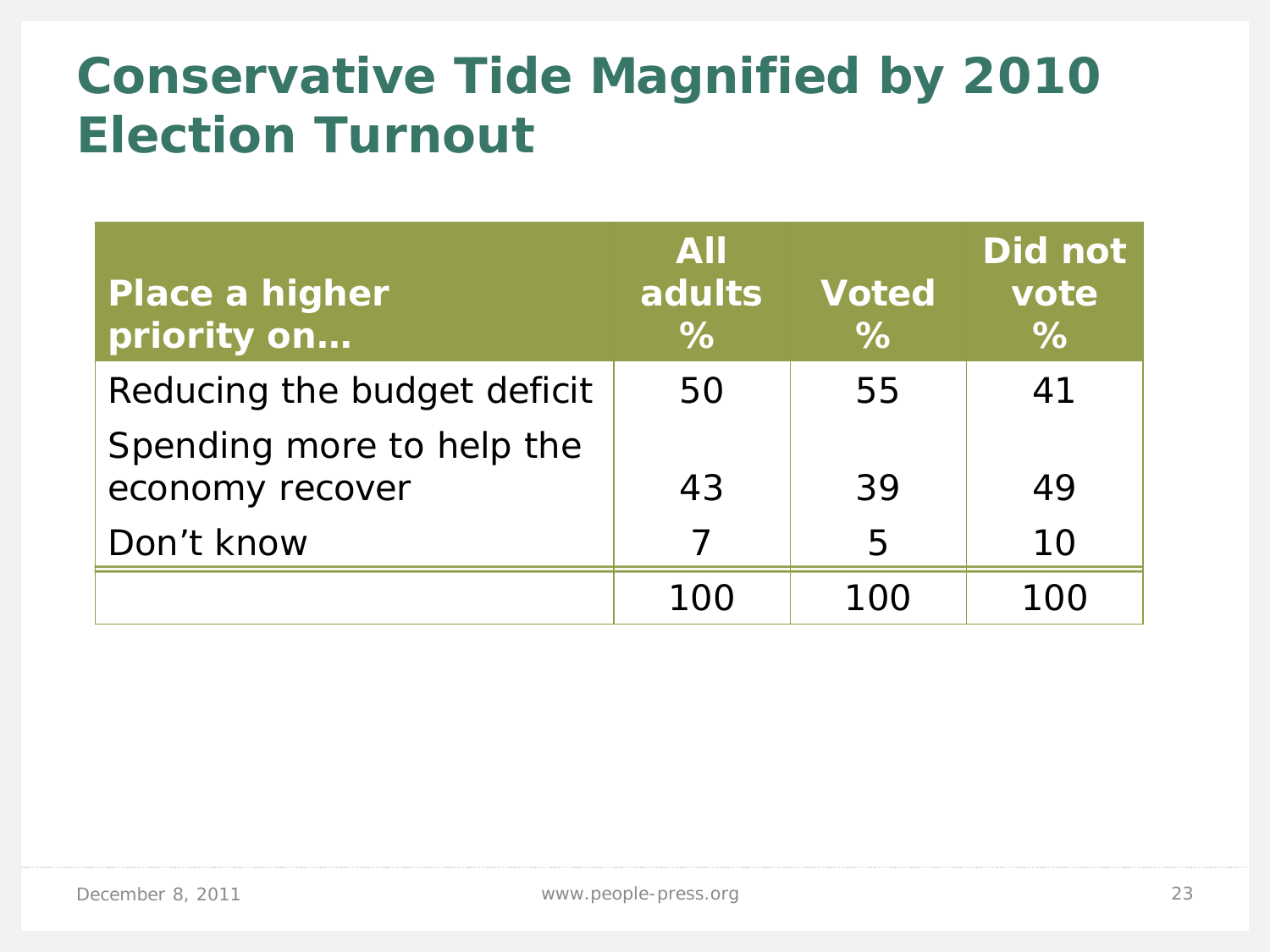# **Conservative Tide Magnified by 2010 Election Turnout**

| <b>Place a higher</b><br>priority on         | <b>AII</b><br>adults<br>$\%$ | <b>Voted</b><br>$\%$ | Did not<br>vote<br>$\%$ |
|----------------------------------------------|------------------------------|----------------------|-------------------------|
| Reducing the budget deficit                  | 50                           | 55                   | 41                      |
| Spending more to help the<br>economy recover | 43                           | 39                   | 49                      |
| Don't know                                   |                              | 5                    | 10                      |
|                                              |                              | 1 N N                | 100                     |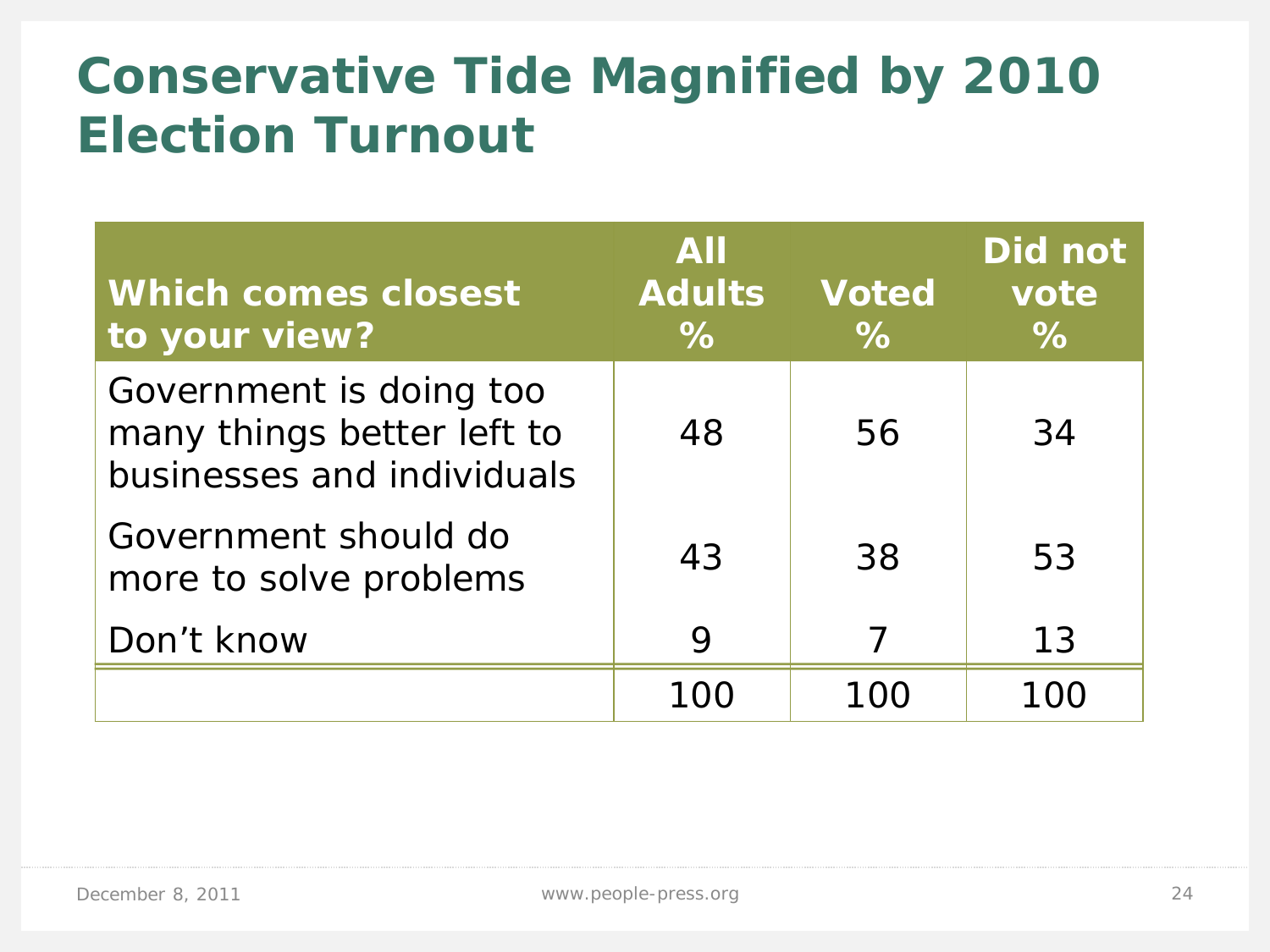# **Conservative Tide Magnified by 2010 Election Turnout**

| <b>Which comes closest</b><br>to your view?                                         | <b>AII</b><br><b>Adults</b><br>$\%$ | <b>Voted</b><br>$\%$ | Did not<br>vote<br>$\%$ |
|-------------------------------------------------------------------------------------|-------------------------------------|----------------------|-------------------------|
| Government is doing too<br>many things better left to<br>businesses and individuals | 48                                  | 56                   | 34                      |
| Government should do<br>more to solve problems                                      | 43                                  | 38                   | 53                      |
| Don't know                                                                          | 9                                   |                      | 13                      |
|                                                                                     |                                     |                      |                         |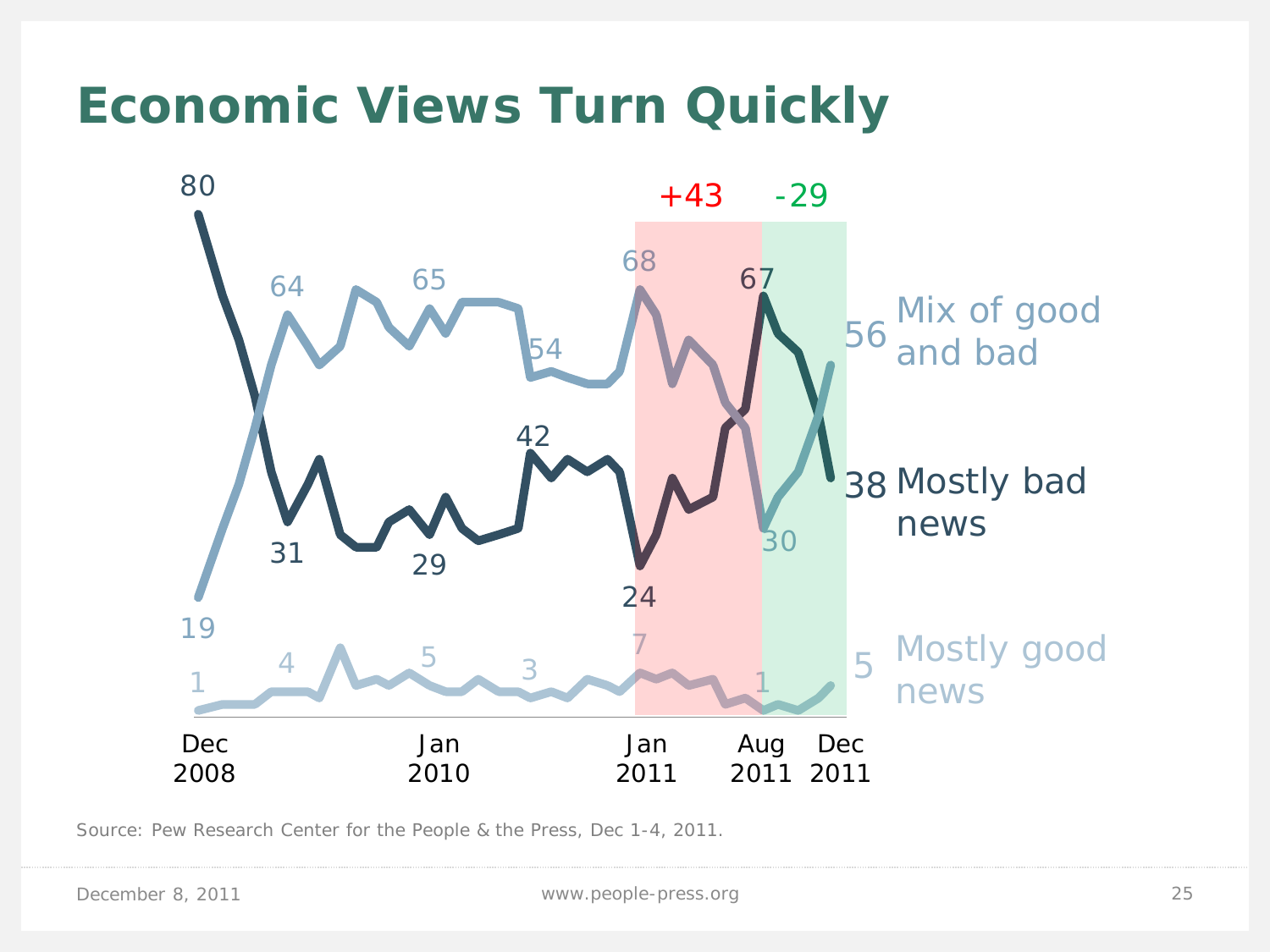### **Economic Views Turn Quickly**



Source: Pew Research Center for the People & the Press, Dec 1-4, 2011.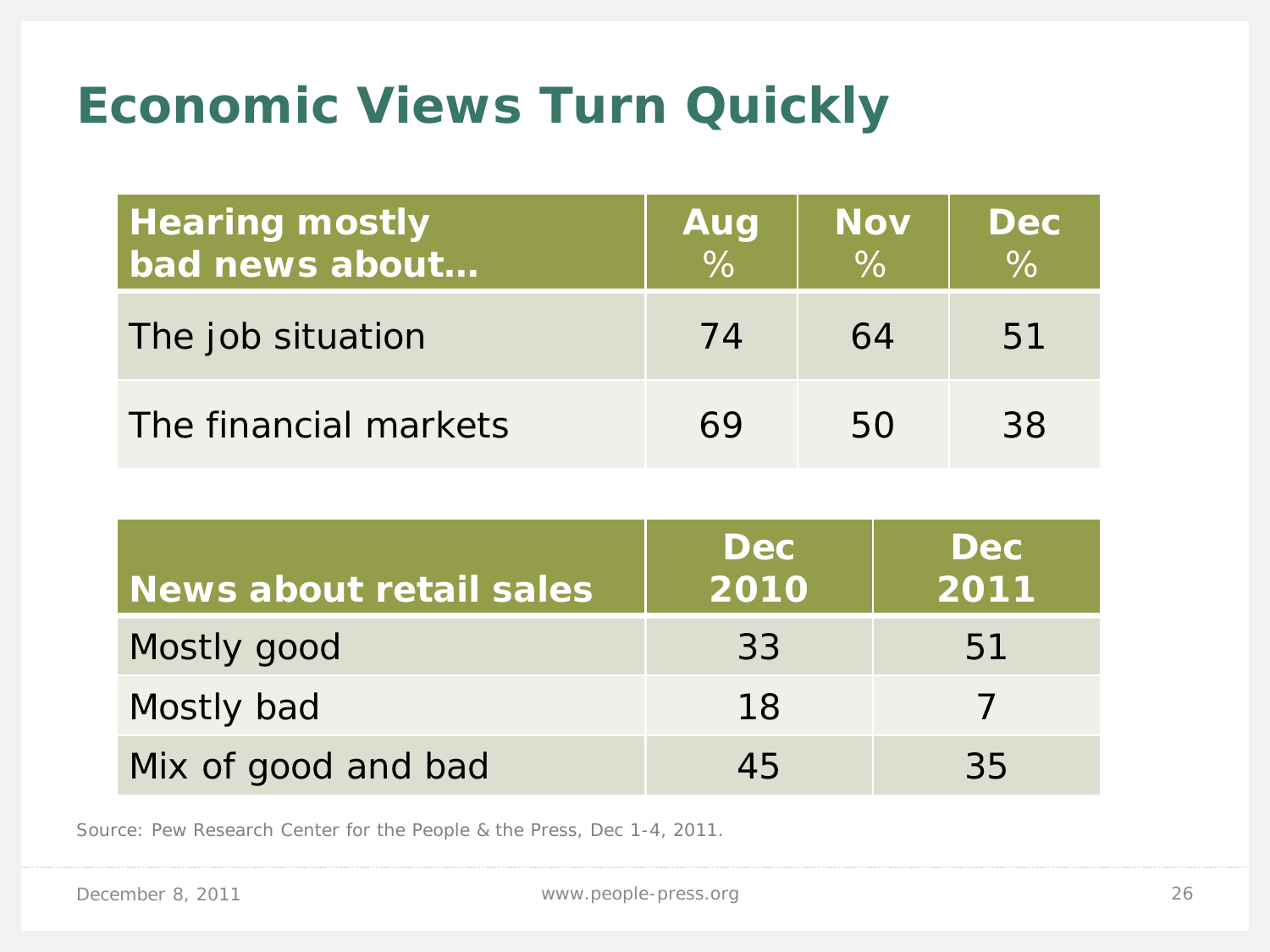# **Economic Views Turn Quickly**

| <b>Hearing mostly</b><br>bad news about | Aug<br>$\sqrt{26}$ | <b>Nov</b><br>$\%$ | <b>Dec</b><br>$\%$ |
|-----------------------------------------|--------------------|--------------------|--------------------|
| The job situation                       | 74                 | 64                 | 51                 |
| The financial markets                   | 69                 | 50                 | 38                 |

| News about retail sales | <b>Dec</b><br>2010 | <b>Dec</b><br>$\overline{\mathsf{12011}}$ |
|-------------------------|--------------------|-------------------------------------------|
| Mostly good             | 33                 | 51                                        |
| Mostly bad              | 18                 |                                           |
| Mix of good and bad     | 45                 | 35                                        |

Source: Pew Research Center for the People & the Press, Dec 1-4, 2011.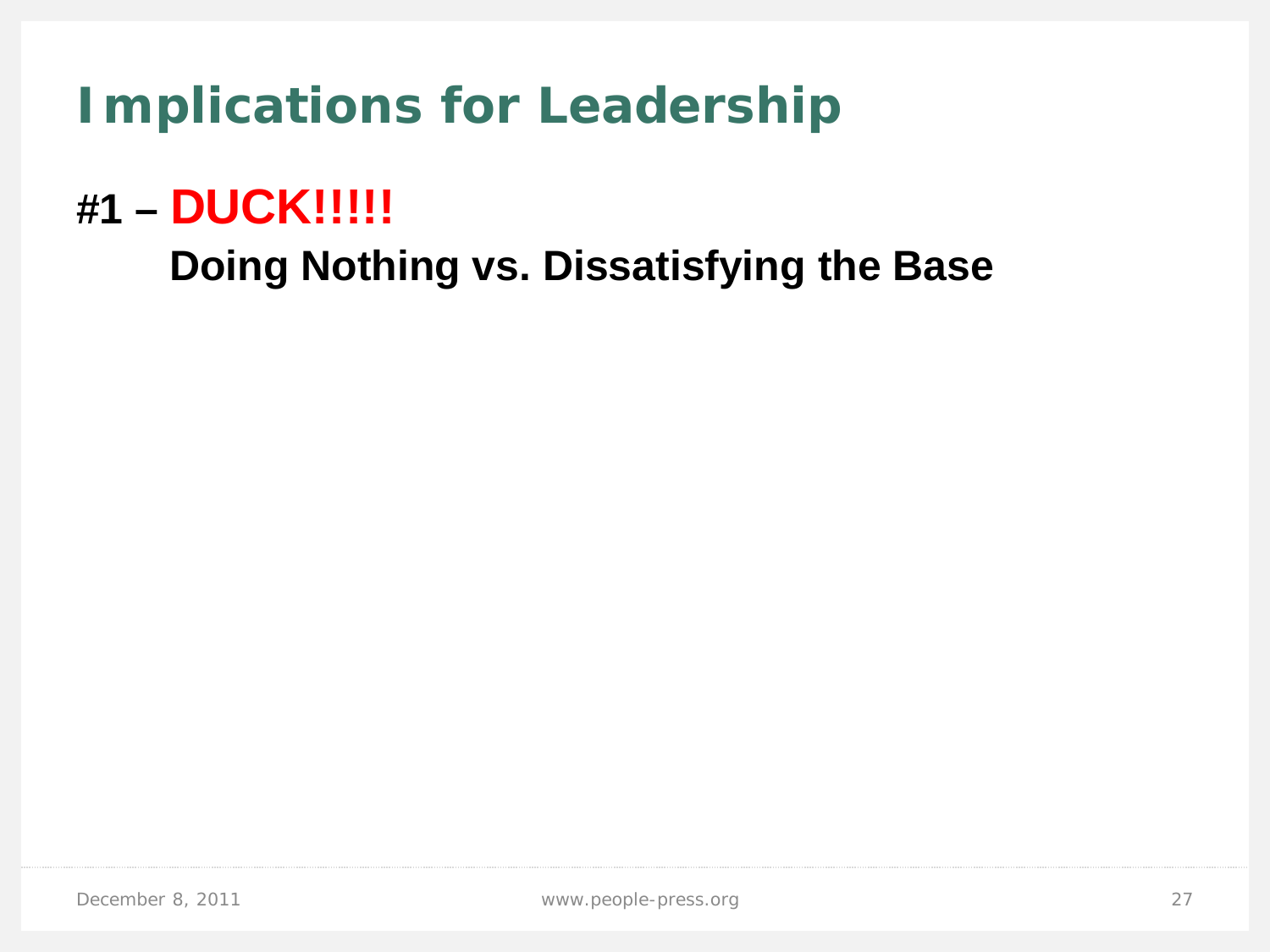**Implications for Leadership**

### **#1 – DUCK!!!!!**

 **Doing Nothing vs. Dissatisfying the Base**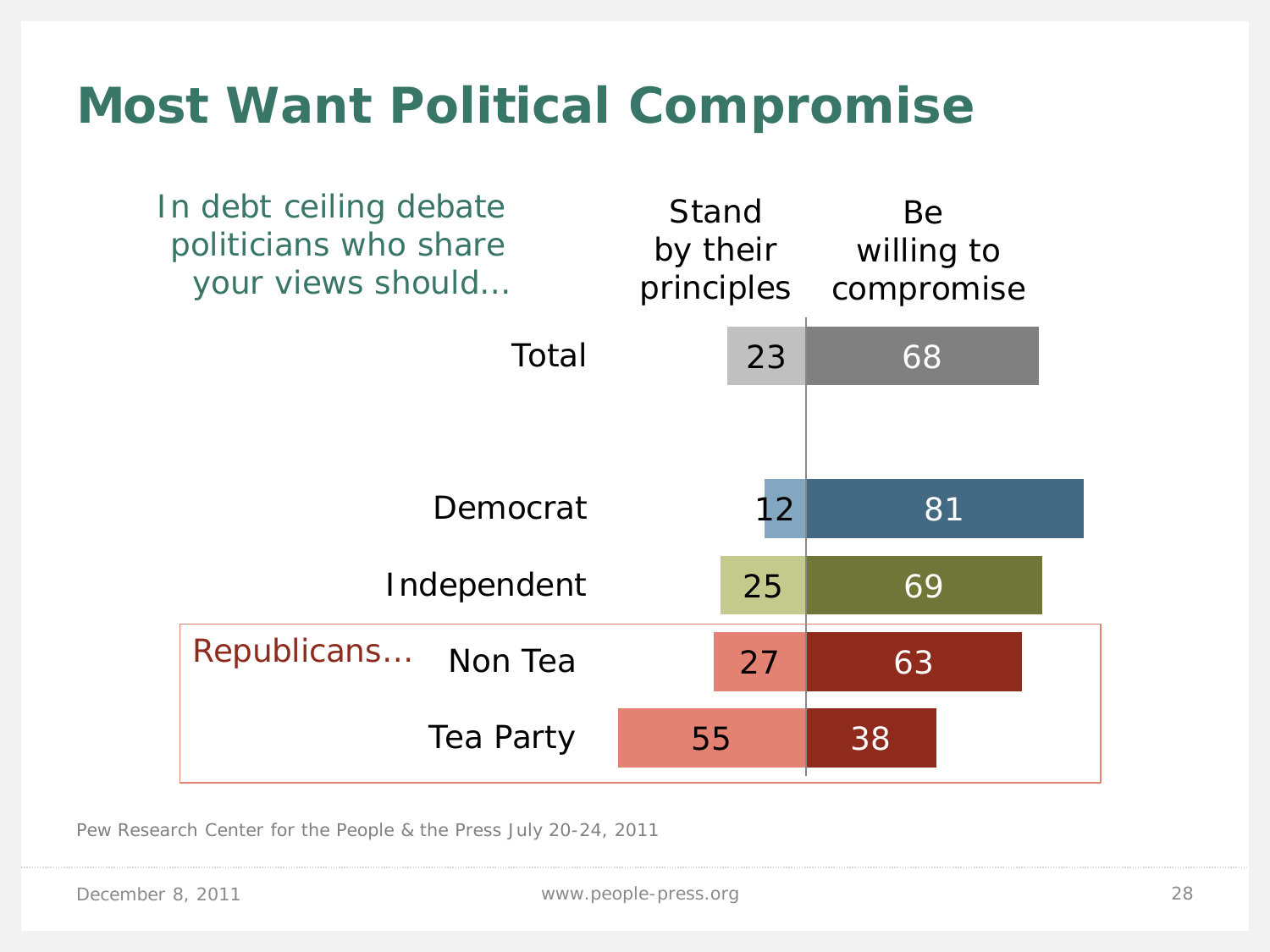### **Most Want Political Compromise**



Pew Research Center for the People & the Press July 20-24, 2011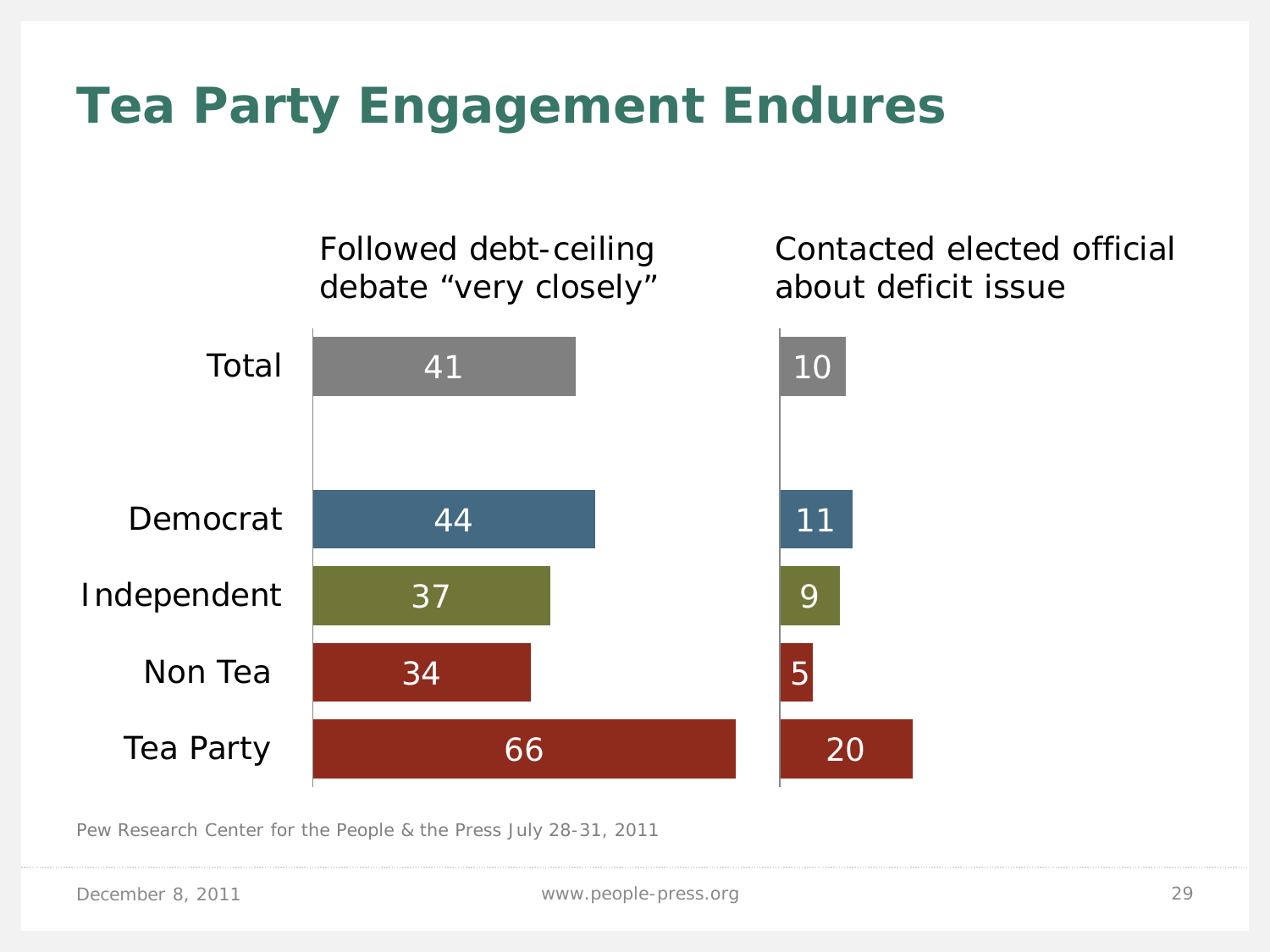# **Tea Party Engagement Endures**



Pew Research Center for the People & the Press July 28-31, 2011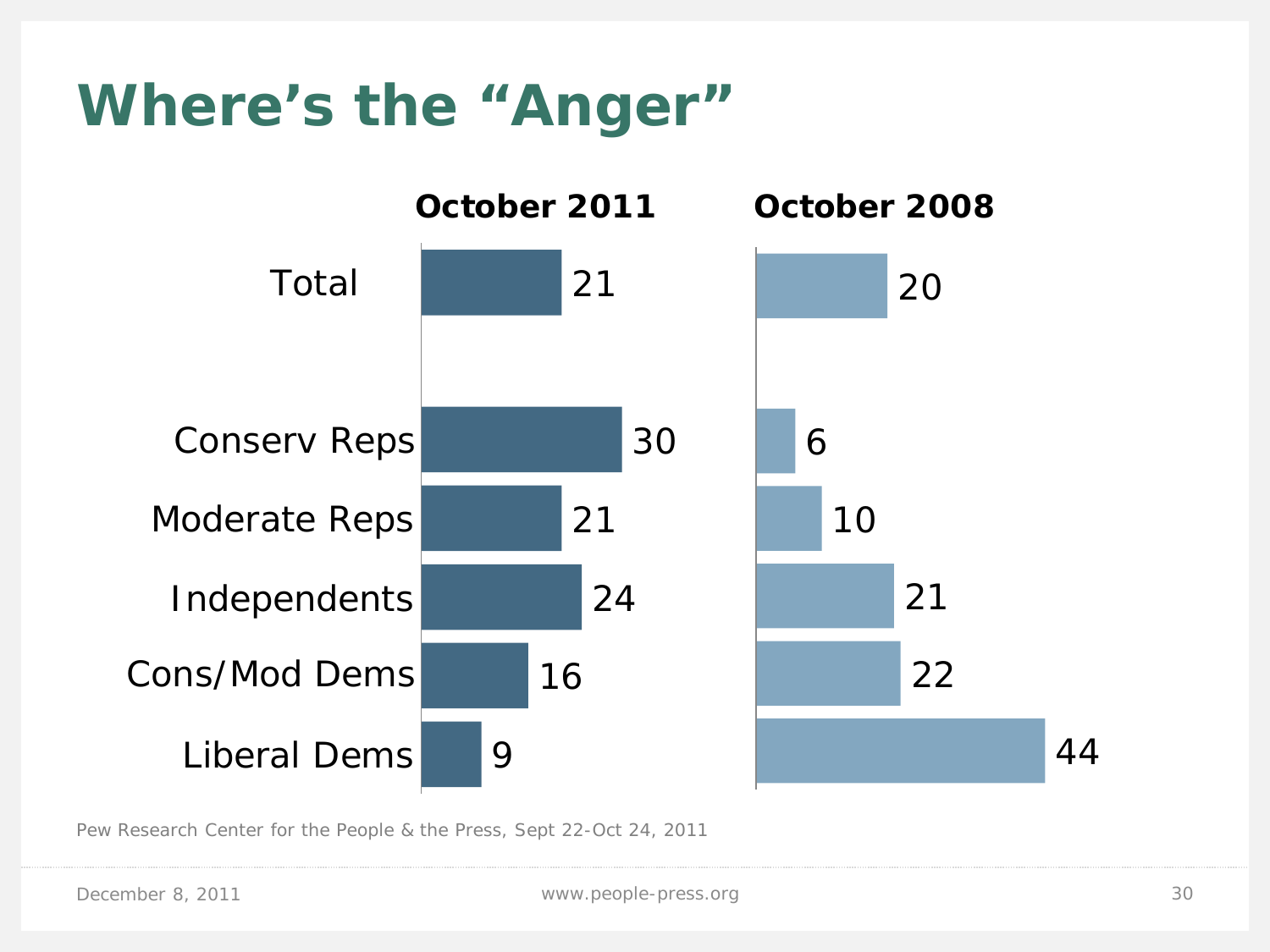# **Where's the "Anger"**



Pew Research Center for the People & the Press, Sept 22-Oct 24, 2011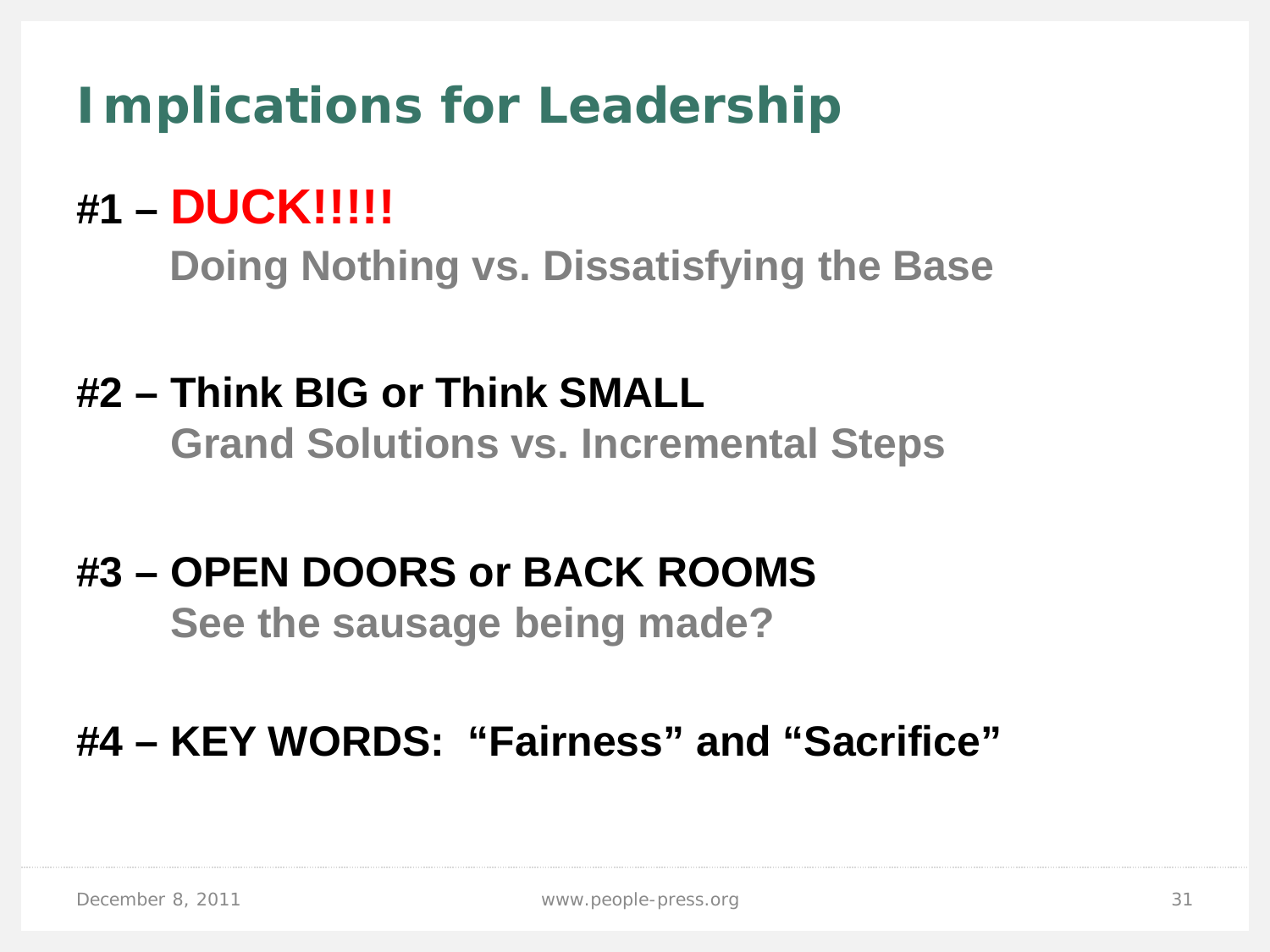# **Implications for Leadership**

## **#1 – DUCK!!!!!**

 **Doing Nothing vs. Dissatisfying the Base**

#### **#2 – Think BIG or Think SMALL Grand Solutions vs. Incremental Steps**

# **#3 – OPEN DOORS or BACK ROOMS**

 **See the sausage being made?**

#### **#4 – KEY WORDS: "Fairness" and "Sacrifice"**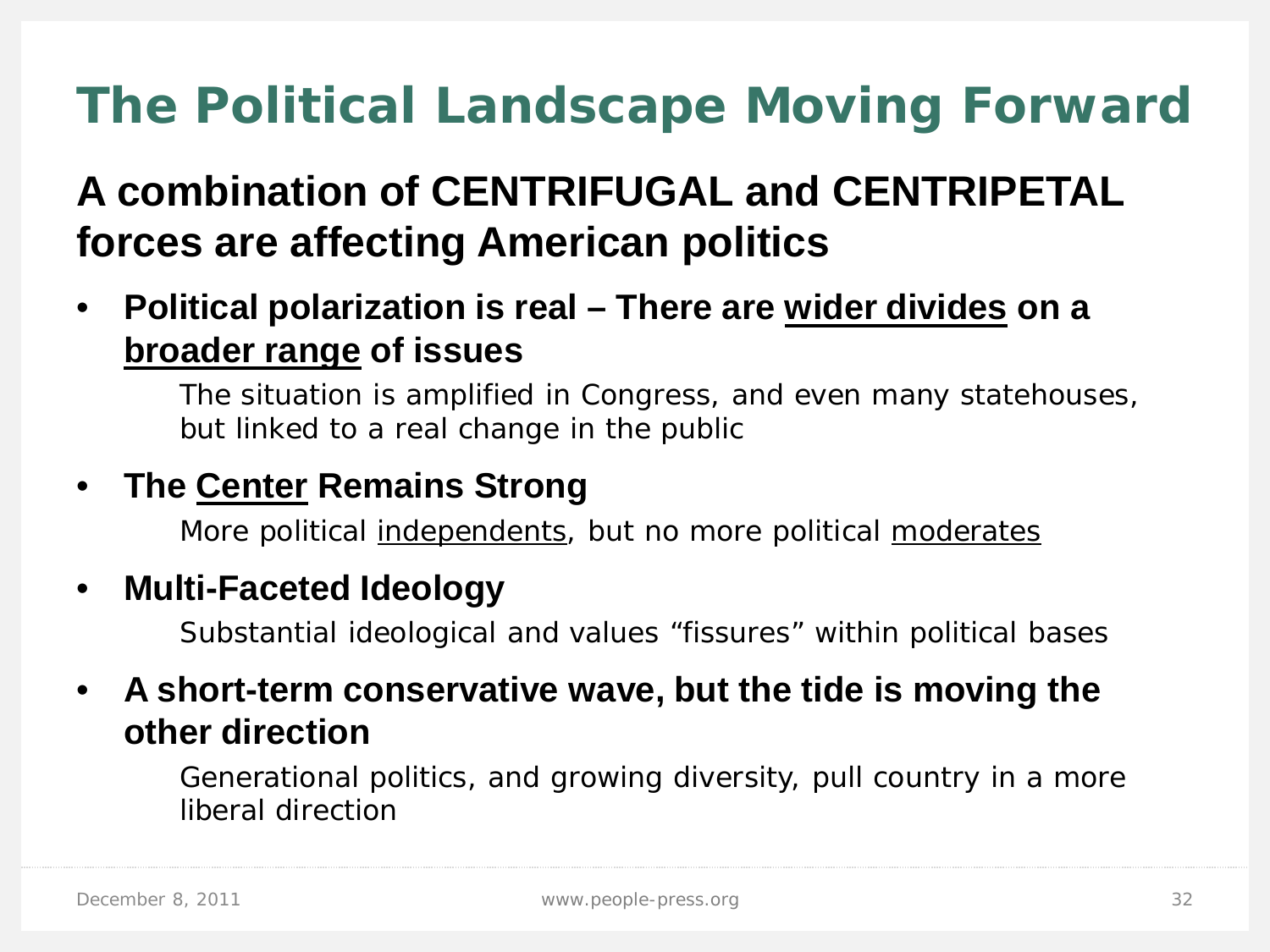# **The Political Landscape Moving Forward**

#### **A combination of CENTRIFUGAL and CENTRIPETAL forces are affecting American politics**

#### • **Political polarization is real – There are wider divides on a broader range of issues**

The situation is amplified in Congress, and even many statehouses, but linked to a real change in the public

#### • **The Center Remains Strong**

More political independents, but no more political moderates

#### • **Multi-Faceted Ideology**

Substantial ideological and values "fissures" within political bases

#### • **A short-term conservative wave, but the tide is moving the other direction**

Generational politics, and growing diversity, pull country in a more liberal direction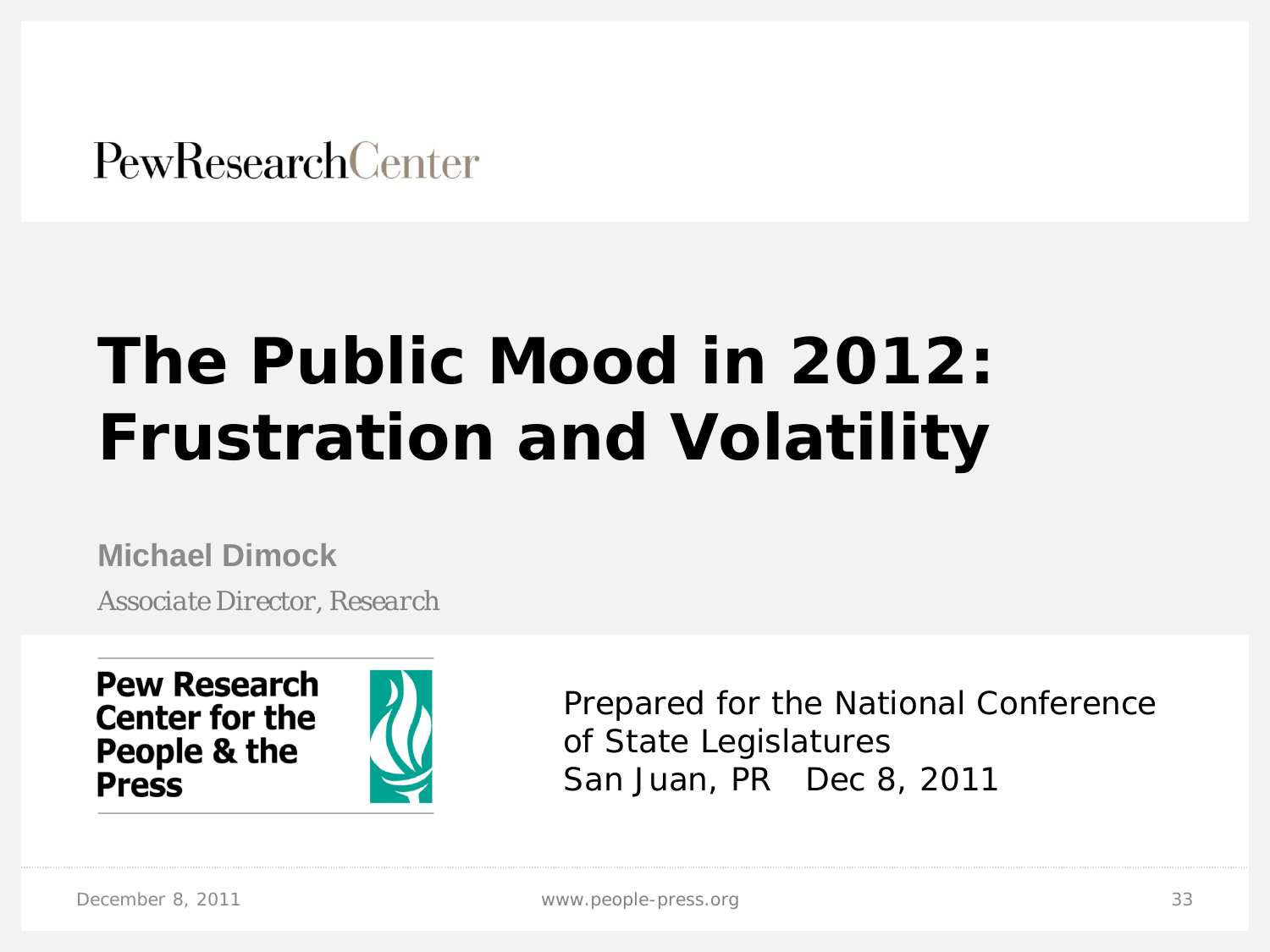**PewResearchCenter** 

# **The Public Mood in 2012: Frustration and Volatility**

**Michael Dimock**

*Associate Director, Research*



Prepared for the National Conference of State Legislatures San Juan, PR Dec 8, 2011